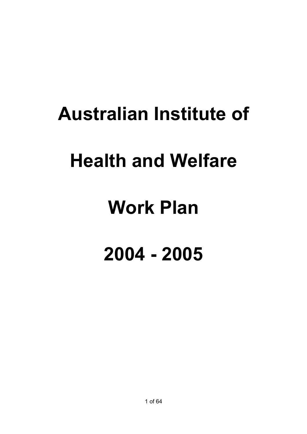# **Australian Institute of**

# **Health and Welfare**

# **Work Plan**

# **2004 - 2005**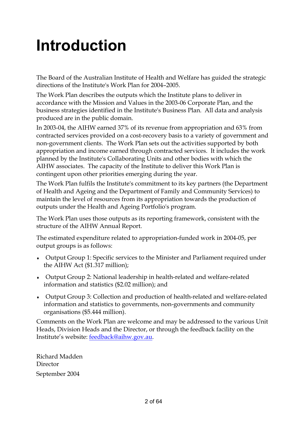# **Introduction**

The Board of the Australian Institute of Health and Welfare has guided the strategic directions of the Institute's Work Plan for 2004–2005.

The Work Plan describes the outputs which the Institute plans to deliver in accordance with the Mission and Values in the 2003-06 Corporate Plan, and the business strategies identified in the Institute's Business Plan. All data and analysis produced are in the public domain.

In 2003-04, the AIHW earned 37% of its revenue from appropriation and 63% from contracted services provided on a cost-recovery basis to a variety of government and non-government clients. The Work Plan sets out the activities supported by both appropriation and income earned through contracted services. It includes the work planned by the Institute's Collaborating Units and other bodies with which the AIHW associates. The capacity of the Institute to deliver this Work Plan is contingent upon other priorities emerging during the year.

The Work Plan fulfils the Institute's commitment to its key partners (the Department of Health and Ageing and the Department of Family and Community Services) to maintain the level of resources from its appropriation towards the production of outputs under the Health and Ageing Portfolio's program.

The Work Plan uses those outputs as its reporting framework, consistent with the structure of the AIHW Annual Report.

The estimated expenditure related to appropriation-funded work in 2004-05, per output groups is as follows:

- ♦ Output Group 1: Specific services to the Minister and Parliament required under the AIHW Act (\$1.317 million);
- ♦ Output Group 2: National leadership in health-related and welfare-related information and statistics (\$2.02 million); and
- ♦ Output Group 3: Collection and production of health-related and welfare-related information and statistics to governments, non-governments and community organisations (\$5.444 million).

Comments on the Work Plan are welcome and may be addressed to the various Unit Heads, Division Heads and the Director, or through the feedback facility on the Institute's website: feedback@aihw.gov.au.

Richard Madden Director September 2004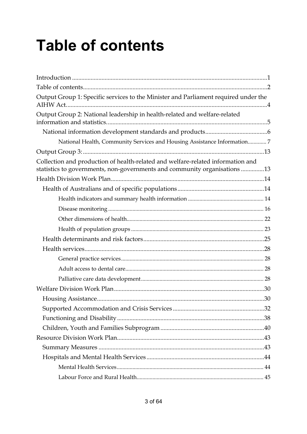# **Table of contents**

| Output Group 1: Specific services to the Minister and Parliament required under the                                                                          |  |
|--------------------------------------------------------------------------------------------------------------------------------------------------------------|--|
| Output Group 2: National leadership in health-related and welfare-related                                                                                    |  |
|                                                                                                                                                              |  |
| National Health, Community Services and Housing Assistance Information7                                                                                      |  |
|                                                                                                                                                              |  |
| Collection and production of health-related and welfare-related information and<br>statistics to governments, non-governments and community organisations 13 |  |
|                                                                                                                                                              |  |
|                                                                                                                                                              |  |
|                                                                                                                                                              |  |
|                                                                                                                                                              |  |
|                                                                                                                                                              |  |
|                                                                                                                                                              |  |
|                                                                                                                                                              |  |
|                                                                                                                                                              |  |
|                                                                                                                                                              |  |
|                                                                                                                                                              |  |
|                                                                                                                                                              |  |
|                                                                                                                                                              |  |
|                                                                                                                                                              |  |
|                                                                                                                                                              |  |
|                                                                                                                                                              |  |
|                                                                                                                                                              |  |
|                                                                                                                                                              |  |
|                                                                                                                                                              |  |
|                                                                                                                                                              |  |
|                                                                                                                                                              |  |
|                                                                                                                                                              |  |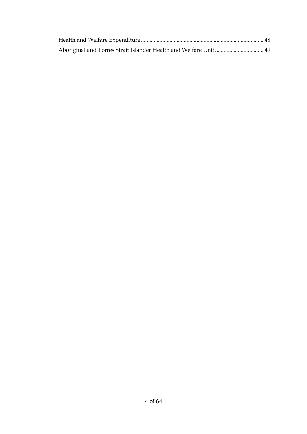| Aboriginal and Torres Strait Islander Health and Welfare Unit  49 |  |
|-------------------------------------------------------------------|--|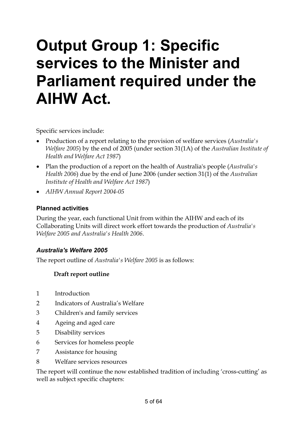# **Output Group 1: Specific services to the Minister and Parliament required under the AIHW Act.**

Specific services include:

- Production of a report relating to the provision of welfare services (*Australia's Welfare 2005*) by the end of 2005 (under section 31(1A) of the *Australian Institute of Health and Welfare Act 1987*)
- Plan the production of a report on the health of Australia's people (*Australia's Health 2006*) due by the end of June 2006 (under section 31(1) of the *Australian Institute of Health and Welfare Act 1987*)
- *AIHW Annual Report 2004-05*

#### **Planned activities**

During the year, each functional Unit from within the AIHW and each of its Collaborating Units will direct work effort towards the production of *Australia's Welfare 2005 and Australia's Health 2006*.

#### *Australia's Welfare 2005*

The report outline of *Australia's Welfare 2005* is as follows:

#### **Draft report outline**

- 1 Introduction
- 2 Indicators of Australia's Welfare
- 3 Children's and family services
- 4 Ageing and aged care
- 5 Disability services
- 6 Services for homeless people
- 7 Assistance for housing
- 8 Welfare services resources

The report will continue the now established tradition of including 'cross-cutting' as well as subject specific chapters: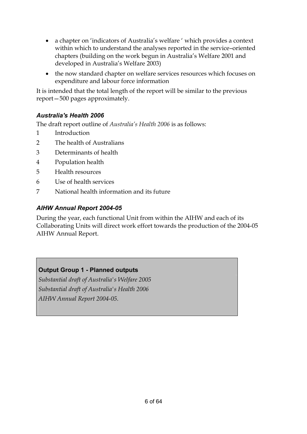- a chapter on 'indicators of Australia's welfare ' which provides a context within which to understand the analyses reported in the service–oriented chapters (building on the work begun in Australia's Welfare 2001 and developed in Australia's Welfare 2003)
- the now standard chapter on welfare services resources which focuses on expenditure and labour force information

It is intended that the total length of the report will be similar to the previous report—500 pages approximately.

#### *Australia's Health 2006*

The draft report outline of *Australia's Health 2006* is as follows:

- 1 Introduction
- 2 The health of Australians
- 3 Determinants of health
- 4 Population health
- 5 Health resources
- 6 Use of health services
- 7 National health information and its future

#### *AIHW Annual Report 2004-05*

During the year, each functional Unit from within the AIHW and each of its Collaborating Units will direct work effort towards the production of the 2004-05 AIHW Annual Report.

#### **Output Group 1 - Planned outputs**

*Substantial draft of Australia's Welfare 2005 Substantial draft of Australia's Health 2006 AIHW Annual Report 2004-05.*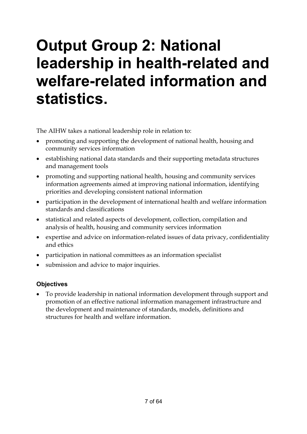# **Output Group 2: National leadership in health-related and welfare-related information and statistics.**

The AIHW takes a national leadership role in relation to:

- promoting and supporting the development of national health, housing and community services information
- establishing national data standards and their supporting metadata structures and management tools
- promoting and supporting national health, housing and community services information agreements aimed at improving national information, identifying priorities and developing consistent national information
- participation in the development of international health and welfare information standards and classifications
- statistical and related aspects of development, collection, compilation and analysis of health, housing and community services information
- expertise and advice on information-related issues of data privacy, confidentiality and ethics
- participation in national committees as an information specialist
- submission and advice to major inquiries.

#### **Objectives**

• To provide leadership in national information development through support and promotion of an effective national information management infrastructure and the development and maintenance of standards, models, definitions and structures for health and welfare information.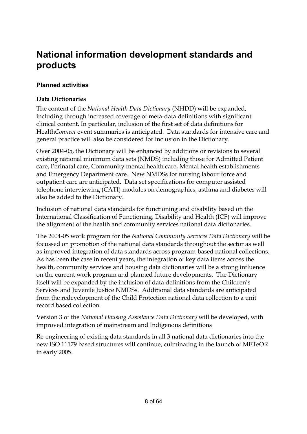### **National information development standards and products**

#### **Planned activities**

#### **Data Dictionaries**

The content of the *National Health Data Dictionary* (NHDD) will be expanded, including through increased coverage of meta-data definitions with significant clinical content. In particular, inclusion of the first set of data definitions for Health*Connect* event summaries is anticipated. Data standards for intensive care and general practice will also be considered for inclusion in the Dictionary.

Over 2004-05, the Dictionary will be enhanced by additions or revisions to several existing national minimum data sets (NMDS) including those for Admitted Patient care, Perinatal care, Community mental health care, Mental health establishments and Emergency Department care. New NMDSs for nursing labour force and outpatient care are anticipated. Data set specifications for computer assisted telephone interviewing (CATI) modules on demographics, asthma and diabetes will also be added to the Dictionary.

Inclusion of national data standards for functioning and disability based on the International Classification of Functioning, Disability and Health (ICF) will improve the alignment of the health and community services national data dictionaries.

The 2004-05 work program for the *National Community Services Data Dictionary* will be focussed on promotion of the national data standards throughout the sector as well as improved integration of data standards across program-based national collections. As has been the case in recent years, the integration of key data items across the health, community services and housing data dictionaries will be a strong influence on the current work program and planned future developments. The Dictionary itself will be expanded by the inclusion of data definitions from the Children's Services and Juvenile Justice NMDSs. Additional data standards are anticipated from the redevelopment of the Child Protection national data collection to a unit record based collection.

Version 3 of the *National Housing Assistance Data Dictionary* will be developed, with improved integration of mainstream and Indigenous definitions

Re-engineering of existing data standards in all 3 national data dictionaries into the new ISO 11179 based structures will continue, culminating in the launch of METeOR in early 2005.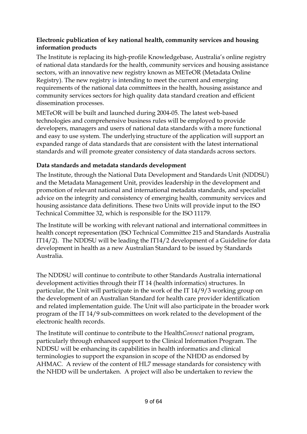#### **Electronic publication of key national health, community services and housing information products**

The Institute is replacing its high-profile Knowledgebase, Australia's online registry of national data standards for the health, community services and housing assistance sectors, with an innovative new registry known as METeOR (Metadata Online Registry). The new registry is intending to meet the current and emerging requirements of the national data committees in the health, housing assistance and community services sectors for high quality data standard creation and efficient dissemination processes.

METeOR will be built and launched during 2004-05. The latest web-based technologies and comprehensive business rules will be employed to provide developers, managers and users of national data standards with a more functional and easy to use system. The underlying structure of the application will support an expanded range of data standards that are consistent with the latest international standards and will promote greater consistency of data standards across sectors.

#### **Data standards and metadata standards development**

The Institute, through the National Data Development and Standards Unit (NDDSU) and the Metadata Management Unit, provides leadership in the development and promotion of relevant national and international metadata standards, and specialist advice on the integrity and consistency of emerging health, community services and housing assistance data definitions. These two Units will provide input to the ISO Technical Committee 32, which is responsible for the ISO 11179.

The Institute will be working with relevant national and international committees in health concept representation (ISO Technical Committee 215 and Standards Australia IT14/2). The NDDSU will be leading the IT14/2 development of a Guideline for data development in health as a new Australian Standard to be issued by Standards Australia.

The NDDSU will continue to contribute to other Standards Australia international development activities through their IT 14 (health informatics) structures. In particular, the Unit will participate in the work of the IT 14/9/3 working group on the development of an Australian Standard for health care provider identification and related implementation guide. The Unit will also participate in the broader work program of the IT 14/9 sub-committees on work related to the development of the electronic health records.

The Institute will continue to contribute to the Health*Connect* national program, particularly through enhanced support to the Clinical Information Program. The NDDSU will be enhancing its capabilities in health informatics and clinical terminologies to support the expansion in scope of the NHDD as endorsed by AHMAC. A review of the content of HL7 message standards for consistency with the NHDD will be undertaken. A project will also be undertaken to review the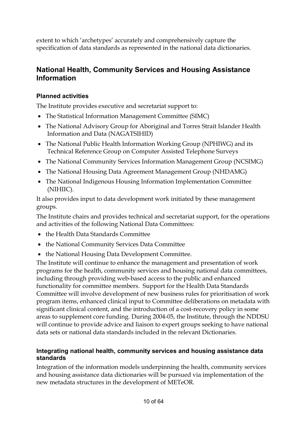extent to which 'archetypes' accurately and comprehensively capture the specification of data standards as represented in the national data dictionaries.

#### **National Health, Community Services and Housing Assistance Information**

#### **Planned activities**

The Institute provides executive and secretariat support to:

- The Statistical Information Management Committee (SIMC)
- The National Advisory Group for Aboriginal and Torres Strait Islander Health Information and Data (NAGATSIHID)
- The National Public Health Information Working Group (NPHIWG) and its Technical Reference Group on Computer Assisted Telephone Surveys
- The National Community Services Information Management Group (NCSIMG)
- The National Housing Data Agreement Management Group (NHDAMG)
- The National Indigenous Housing Information Implementation Committee (NIHIIC).

It also provides input to data development work initiated by these management groups.

The Institute chairs and provides technical and secretariat support, for the operations and activities of the following National Data Committees:

- the Health Data Standards Committee
- the National Community Services Data Committee
- the National Housing Data Development Committee.

The Institute will continue to enhance the management and presentation of work programs for the health, community services and housing national data committees, including through providing web-based access to the public and enhanced functionality for committee members. Support for the Health Data Standards Committee will involve development of new business rules for prioritisation of work program items, enhanced clinical input to Committee deliberations on metadata with significant clinical content, and the introduction of a cost-recovery policy in some areas to supplement core funding. During 2004-05, the Institute, through the NDDSU will continue to provide advice and liaison to expert groups seeking to have national data sets or national data standards included in the relevant Dictionaries.

#### **Integrating national health, community services and housing assistance data standards**

Integration of the information models underpinning the health, community services and housing assistance data dictionaries will be pursued via implementation of the new metadata structures in the development of METeOR.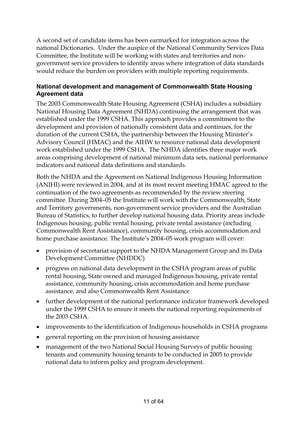A second set of candidate items has been earmarked for integration across the national Dictionaries. Under the auspice of the National Community Services Data Committee, the Institute will be working with states and territories and nongovernment service providers to identify areas where integration of data standards would reduce the burden on providers with multiple reporting requirements.

#### **National development and management of Commonwealth State Housing Agreement data**

The 2003 Commonwealth State Housing Agreement (CSHA) includes a subsidiary National Housing Data Agreement (NHDA) continuing the arrangement that was established under the 1999 CSHA. This approach provides a commitment to the development and provision of nationally consistent data and continues, for the duration of the current CSHA, the partnership between the Housing Minister's Advisory Council (HMAC) and the AIHW to resource national data development work established under the 1999 CSHA. The NHDA identifies three major work areas comprising development of national minimum data sets, national performance indicators and national data definitions and standards.

Both the NHDA and the Agreement on National Indigenous Housing Information (ANIHI) were reviewed in 2004, and at its most recent meeting HMAC agreed to the continuation of the two agreements as recommended by the review steering committee. During 2004–05 the Institute will work with the Commonwealth, State and Territory governments, non-government service providers and the Australian Bureau of Statistics, to further develop national housing data. Priority areas include Indigenous housing, public rental housing, private rental assistance (including Commonwealth Rent Assistance), community housing, crisis accommodation and home purchase assistance. The Institute's 2004–05 work program will cover:

- provision of secretariat support to the NHDA Management Group and its Data Development Committee (NHDDC)
- progress on national data development in the CSHA program areas of public rental housing, State owned and managed Indigenous housing, private rental assistance, community housing, crisis accommodation and home purchase assistance, and also Commonwealth Rent Assistance
- further development of the national performance indicator framework developed under the 1999 CSHA to ensure it meets the national reporting requirements of the 2003 CSHA.
- improvements to the identification of Indigenous households in CSHA programs
- general reporting on the provision of housing assistance
- management of the two National Social Housing Surveys of public housing tenants and community housing tenants to be conducted in 2005 to provide national data to inform policy and program development.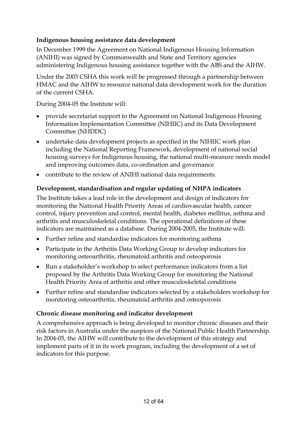#### **Indigenous housing assistance data development**

In December 1999 the Agreement on National Indigenous Housing Information (ANIHI) was signed by Commonwealth and State and Territory agencies administering Indigenous housing assistance together with the ABS and the AIHW.

Under the 2003 CSHA this work will be progressed through a partnership between HMAC and the AIHW to resource national data development work for the duration of the current CSHA.

During 2004-05 the Institute will:

- provide secretariat support to the Agreement on National Indigenous Housing Information Implementation Committee (NIHIIC) and its Data Development Committee (NHDDC)
- undertake data development projects as specified in the NIHIIC work plan including the National Reporting Framework, development of national social housing surveys for Indigenous housing, the national multi-measure needs model and improving outcomes data, co-ordination and governance
- contribute to the review of ANIHI national data requirements.

#### **Development, standardisation and regular updating of NHPA indicators**

The Institute takes a lead role in the development and design of indicators for monitoring the National Health Priority Areas of cardiovascular health, cancer control, injury prevention and control, mental health, diabetes mellitus, asthma and arthritis and musculoskeletal conditions. The operational definitions of these indicators are maintained as a database. During 2004-2005, the Institute will:

- Further refine and standardise indicators for monitoring asthma
- Participate in the Arthritis Data Working Group to develop indicators for monitoring osteoarthritis, rheumatoid arthritis and osteoporosis
- Run a stakeholder's workshop to select performance indicators from a list proposed by the Arthritis Data Working Group for monitoring the National Health Priority Area of arthritis and other musculoskeletal conditions
- Further refine and standardise indicators selected by a stakeholders workshop for monitoring osteoarthritis, rheumatoid arthritis and osteoporosis

#### **Chronic disease monitoring and indicator development**

A comprehensive approach is being developed to monitor chronic diseases and their risk factors in Australia under the auspices of the National Public Health Partnership. In 2004-05, the AIHW will contribute to the development of this strategy and implement parts of it in its work program, including the development of a set of indicators for this purpose.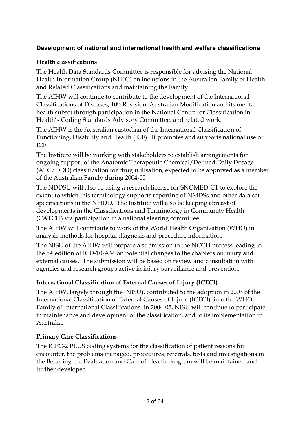#### **Development of national and international health and welfare classifications**

#### **Health classifications**

The Health Data Standards Committee is responsible for advising the National Health Information Group (NHIG) on inclusions in the Australian Family of Health and Related Classifications and maintaining the Family.

The AIHW will continue to contribute to the development of the International Classifications of Diseases, 10th Revision, Australian Modification and its mental health subset through participation in the National Centre for Classification in Health's Coding Standards Advisory Committee, and related work.

The AIHW is the Australian custodian of the International Classification of Functioning, Disability and Health (ICF). It promotes and supports national use of ICF.

The Institute will be working with stakeholders to establish arrangements for ongoing support of the Anatomic Therapeutic Chemical/Defined Daily Dosage (ATC/DDD) classification for drug utilisation, expected to be approved as a member of the Australian Family during 2004-05

The NDDSU will also be using a research license for SNOMED-CT to explore the extent to which this terminology supports reporting of NMDSs and other data set specifications in the NHDD. The Institute will also be keeping abreast of developments in the Classifications and Terminology in Community Health (CATCH) via participation in a national steering committee.

The AIHW will contribute to work of the World Health Organization (WHO) in analysis methods for hospital diagnosis and procedure information.

The NISU of the AIHW will prepare a submission to the NCCH process leading to the 5th edition of ICD-10-AM on potential changes to the chapters on injury and external causes. The submission will be based on review and consultation with agencies and research groups active in injury surveillance and prevention.

#### **International Classification of External Causes of Injury (ICECI)**

The AIHW, largely through the (NISU), contributed to the adoption in 2003 of the International Classification of External Causes of Injury (ICECI), into the WHO Family of International Classifications. In 2004-05, NISU will continue to participate in maintenance and development of the classification, and to its implementation in Australia.

#### **Primary Care Classifications**

The ICPC-2 PLUS coding systems for the classification of patient reasons for encounter, the problems managed, procedures, referrals, tests and investigations in the Bettering the Evaluation and Care of Health program will be maintained and further developed.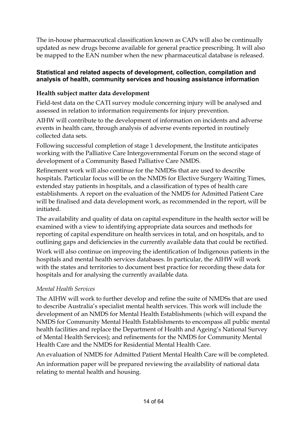The in-house pharmaceutical classification known as CAPs will also be continually updated as new drugs become available for general practice prescribing. It will also be mapped to the EAN number when the new pharmaceutical database is released.

#### **Statistical and related aspects of development, collection, compilation and analysis of health, community services and housing assistance information**

#### **Health subject matter data development**

Field-test data on the CATI survey module concerning injury will be analysed and assessed in relation to information requirements for injury prevention.

AIHW will contribute to the development of information on incidents and adverse events in health care, through analysis of adverse events reported in routinely collected data sets.

Following successful completion of stage 1 development, the Institute anticipates working with the Palliative Care Intergovernmental Forum on the second stage of development of a Community Based Palliative Care NMDS.

Refinement work will also continue for the NMDSs that are used to describe hospitals. Particular focus will be on the NMDS for Elective Surgery Waiting Times, extended stay patients in hospitals, and a classification of types of health care establishments. A report on the evaluation of the NMDS for Admitted Patient Care will be finalised and data development work, as recommended in the report, will be initiated.

The availability and quality of data on capital expenditure in the health sector will be examined with a view to identifying appropriate data sources and methods for reporting of capital expenditure on health services in total, and on hospitals, and to outlining gaps and deficiencies in the currently available data that could be rectified.

Work will also continue on improving the identification of Indigenous patients in the hospitals and mental health services databases. In particular, the AIHW will work with the states and territories to document best practice for recording these data for hospitals and for analysing the currently available data.

#### *Mental Health Services*

The AIHW will work to further develop and refine the suite of NMDSs that are used to describe Australia's specialist mental health services. This work will include the development of an NMDS for Mental Health Establishments (which will expand the NMDS for Community Mental Health Establishments to encompass all public mental health facilities and replace the Department of Health and Ageing's National Survey of Mental Health Services); and refinements for the NMDS for Community Mental Health Care and the NMDS for Residential Mental Health Care.

An evaluation of NMDS for Admitted Patient Mental Health Care will be completed.

An information paper will be prepared reviewing the availability of national data relating to mental health and housing.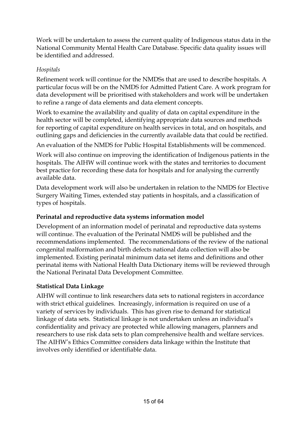Work will be undertaken to assess the current quality of Indigenous status data in the National Community Mental Health Care Database. Specific data quality issues will be identified and addressed.

#### *Hospitals*

Refinement work will continue for the NMDSs that are used to describe hospitals. A particular focus will be on the NMDS for Admitted Patient Care. A work program for data development will be prioritised with stakeholders and work will be undertaken to refine a range of data elements and data element concepts.

Work to examine the availability and quality of data on capital expenditure in the health sector will be completed, identifying appropriate data sources and methods for reporting of capital expenditure on health services in total, and on hospitals, and outlining gaps and deficiencies in the currently available data that could be rectified.

An evaluation of the NMDS for Public Hospital Establishments will be commenced.

Work will also continue on improving the identification of Indigenous patients in the hospitals. The AIHW will continue work with the states and territories to document best practice for recording these data for hospitals and for analysing the currently available data.

Data development work will also be undertaken in relation to the NMDS for Elective Surgery Waiting Times, extended stay patients in hospitals, and a classification of types of hospitals.

#### **Perinatal and reproductive data systems information model**

Development of an information model of perinatal and reproductive data systems will continue. The evaluation of the Perinatal NMDS will be published and the recommendations implemented. The recommendations of the review of the national congenital malformation and birth defects national data collection will also be implemented. Existing perinatal minimum data set items and definitions and other perinatal items with National Health Data Dictionary items will be reviewed through the National Perinatal Data Development Committee.

#### **Statistical Data Linkage**

AIHW will continue to link researchers data sets to national registers in accordance with strict ethical guidelines. Increasingly, information is required on use of a variety of services by individuals. This has given rise to demand for statistical linkage of data sets. Statistical linkage is not undertaken unless an individual's confidentiality and privacy are protected while allowing managers, planners and researchers to use risk data sets to plan comprehensive health and welfare services. The AIHW's Ethics Committee considers data linkage within the Institute that involves only identified or identifiable data.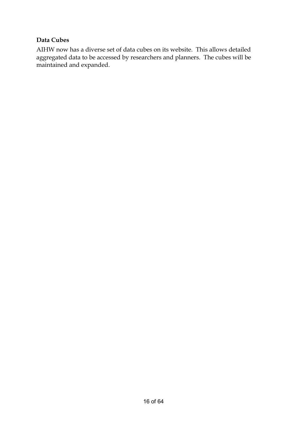#### **Data Cubes**

AIHW now has a diverse set of data cubes on its website. This allows detailed aggregated data to be accessed by researchers and planners. The cubes will be maintained and expanded.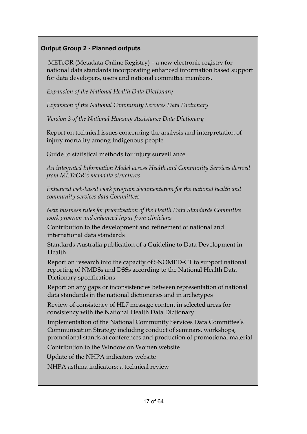#### **Output Group 2 - Planned outputs**

 METeOR (Metadata Online Registry) – a new electronic registry for national data standards incorporating enhanced information based support for data developers, users and national committee members.

*Expansion of the National Health Data Dictionary* 

*Expansion of the National Community Services Data Dictionary* 

*Version 3 of the National Housing Assistance Data Dictionary* 

Report on technical issues concerning the analysis and interpretation of injury mortality among Indigenous people

Guide to statistical methods for injury surveillance

*An integrated Information Model across Health and Community Services derived from METeOR's metadata structures* 

*Enhanced web-based work program documentation for the national health and community services data Committees* 

*New business rules for prioritisation of the Health Data Standards Committee work program and enhanced input from clinicians* 

Contribution to the development and refinement of national and international data standards

Standards Australia publication of a Guideline to Data Development in Health

Report on research into the capacity of SNOMED-CT to support national reporting of NMDSs and DSSs according to the National Health Data Dictionary specifications

Report on any gaps or inconsistencies between representation of national data standards in the national dictionaries and in archetypes

Review of consistency of HL7 message content in selected areas for consistency with the National Health Data Dictionary

Implementation of the National Community Services Data Committee's Communication Strategy including conduct of seminars, workshops, promotional stands at conferences and production of promotional material

Contribution to the Window on Women website

Update of the NHPA indicators website

NHPA asthma indicators: a technical review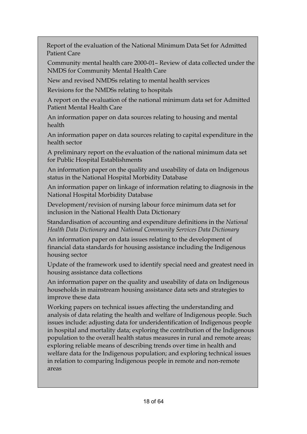Report of the evaluation of the National Minimum Data Set for Admitted Patient Care

Community mental health care 2000-01– Review of data collected under the NMDS for Community Mental Health Care

New and revised NMDSs relating to mental health services

Revisions for the NMDSs relating to hospitals

A report on the evaluation of the national minimum data set for Admitted Patient Mental Health Care

An information paper on data sources relating to housing and mental health

An information paper on data sources relating to capital expenditure in the health sector

A preliminary report on the evaluation of the national minimum data set for Public Hospital Establishments

An information paper on the quality and useability of data on Indigenous status in the National Hospital Morbidity Database

An information paper on linkage of information relating to diagnosis in the National Hospital Morbidity Database

Development/revision of nursing labour force minimum data set for inclusion in the National Health Data Dictionary

Standardisation of accounting and expenditure definitions in the *National Health Data Dictionary* and *National Community Services Data Dictionary* 

An information paper on data issues relating to the development of financial data standards for housing assistance including the Indigenous housing sector

Update of the framework used to identify special need and greatest need in housing assistance data collections

An information paper on the quality and useability of data on Indigenous households in mainstream housing assistance data sets and strategies to improve these data

Working papers on technical issues affecting the understanding and analysis of data relating the health and welfare of Indigenous people. Such issues include: adjusting data for underidentification of Indigenous people in hospital and mortality data; exploring the contribution of the Indigenous population to the overall health status measures in rural and remote areas; exploring reliable means of describing trends over time in health and welfare data for the Indigenous population; and exploring technical issues in relation to comparing Indigenous people in remote and non-remote areas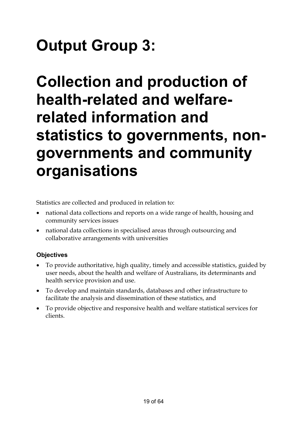# **Output Group 3:**

# **Collection and production of health-related and welfarerelated information and statistics to governments, nongovernments and community organisations**

Statistics are collected and produced in relation to:

- national data collections and reports on a wide range of health, housing and community services issues
- national data collections in specialised areas through outsourcing and collaborative arrangements with universities

#### **Objectives**

- To provide authoritative, high quality, timely and accessible statistics, guided by user needs, about the health and welfare of Australians, its determinants and health service provision and use.
- To develop and maintain standards, databases and other infrastructure to facilitate the analysis and dissemination of these statistics, and
- To provide objective and responsive health and welfare statistical services for clients.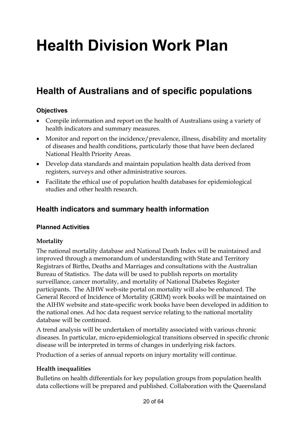# **Health Division Work Plan**

### **Health of Australians and of specific populations**

#### **Objectives**

- Compile information and report on the health of Australians using a variety of health indicators and summary measures.
- Monitor and report on the incidence/prevalence, illness, disability and mortality of diseases and health conditions, particularly those that have been declared National Health Priority Areas.
- Develop data standards and maintain population health data derived from registers, surveys and other administrative sources.
- Facilitate the ethical use of population health databases for epidemiological studies and other health research.

#### **Health indicators and summary health information**

#### **Planned Activities**

#### **Mortality**

The national mortality database and National Death Index will be maintained and improved through a memorandum of understanding with State and Territory Registrars of Births, Deaths and Marriages and consultations with the Australian Bureau of Statistics. The data will be used to publish reports on mortality surveillance, cancer mortality, and mortality of National Diabetes Register participants. The AIHW web-site portal on mortality will also be enhanced. The General Record of Incidence of Mortality (GRIM) work books will be maintained on the AIHW website and state-specific work books have been developed in addition to the national ones. Ad hoc data request service relating to the national mortality database will be continued.

A trend analysis will be undertaken of mortality associated with various chronic diseases. In particular, micro-epidemiological transitions observed in specific chronic disease will be interpreted in terms of changes in underlying risk factors.

Production of a series of annual reports on injury mortality will continue.

#### **Health inequalities**

Bulletins on health differentials for key population groups from population health data collections will be prepared and published. Collaboration with the Queensland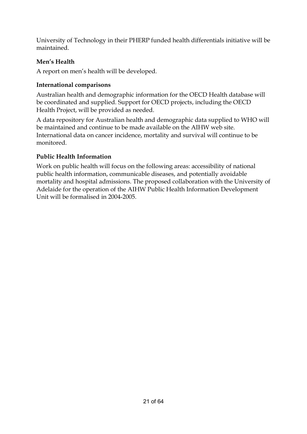University of Technology in their PHERP funded health differentials initiative will be maintained.

#### **Men's Health**

A report on men's health will be developed.

#### **International comparisons**

Australian health and demographic information for the OECD Health database will be coordinated and supplied. Support for OECD projects, including the OECD Health Project, will be provided as needed.

A data repository for Australian health and demographic data supplied to WHO will be maintained and continue to be made available on the AIHW web site. International data on cancer incidence, mortality and survival will continue to be monitored.

#### **Public Health Information**

Work on public health will focus on the following areas: accessibility of national public health information, communicable diseases, and potentially avoidable mortality and hospital admissions. The proposed collaboration with the University of Adelaide for the operation of the AIHW Public Health Information Development Unit will be formalised in 2004-2005.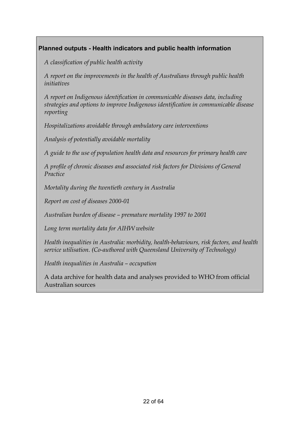#### **Planned outputs - Health indicators and public health information**

*A classification of public health activity* 

*A report on the improvements in the health of Australians through public health initiatives* 

*A report on Indigenous identification in communicable diseases data, including strategies and options to improve Indigenous identification in communicable disease reporting* 

*Hospitalizations avoidable through ambulatory care interventions* 

*Analysis of potentially avoidable mortality* 

*A guide to the use of population health data and resources for primary health care* 

*A profile of chronic diseases and associated risk factors for Divisions of General Practice* 

*Mortality during the twentieth century in Australia* 

*Report on cost of diseases 2000-01* 

*Australian burden of disease – premature mortality 1997 to 2001* 

*Long term mortality data for AIHW website* 

*Health inequalities in Australia: morbidity, health-behaviours, risk factors, and health service utilisation. (Co-authored with Queensland University of Technology)* 

*Health inequalities in Australia – occupation* 

A data archive for health data and analyses provided to WHO from official Australian sources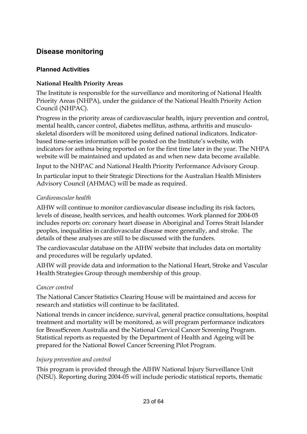#### **Disease monitoring**

#### **Planned Activities**

#### **National Health Priority Areas**

The Institute is responsible for the surveillance and monitoring of National Health Priority Areas (NHPA), under the guidance of the National Health Priority Action Council (NHPAC).

Progress in the priority areas of cardiovascular health, injury prevention and control, mental health, cancer control, diabetes mellitus, asthma, arthritis and musculoskeletal disorders will be monitored using defined national indicators. Indicatorbased time-series information will be posted on the Institute's website, with indicators for asthma being reported on for the first time later in the year. The NHPA website will be maintained and updated as and when new data become available.

Input to the NHPAC and National Health Priority Performance Advisory Group.

In particular input to their Strategic Directions for the Australian Health Ministers Advisory Council (AHMAC) will be made as required.

#### *Cardiovascular health*

AIHW will continue to monitor cardiovascular disease including its risk factors, levels of disease, health services, and health outcomes. Work planned for 2004-05 includes reports on: coronary heart disease in Aboriginal and Torres Strait Islander peoples, inequalities in cardiovascular disease more generally, and stroke. The details of these analyses are still to be discussed with the funders.

The cardiovascular database on the AIHW website that includes data on mortality and procedures will be regularly updated.

AIHW will provide data and information to the National Heart, Stroke and Vascular Health Strategies Group through membership of this group.

#### *Cancer control*

The National Cancer Statistics Clearing House will be maintained and access for research and statistics will continue to be facilitated.

National trends in cancer incidence, survival, general practice consultations, hospital treatment and mortality will be monitored, as will program performance indicators for BreastScreen Australia and the National Cervical Cancer Screening Program. Statistical reports as requested by the Department of Health and Ageing will be prepared for the National Bowel Cancer Screening Pilot Program.

#### *Injury prevention and control*

This program is provided through the AIHW National Injury Surveillance Unit (NISU). Reporting during 2004-05 will include periodic statistical reports, thematic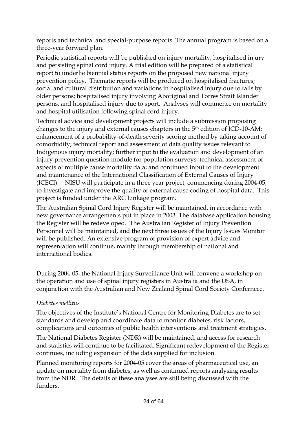reports and technical and special-purpose reports. The annual program is based on a three-year forward plan.

Periodic statistical reports will be published on injury mortality, hospitalised injury and persisting spinal cord injury. A trial edition will be prepared of a statistical report to underlie biennial status reports on the proposed new national injury prevention policy. Thematic reports will be produced on hospitalised fractures; social and cultural distribution and variations in hospitalised injury due to falls by older persons; hospitalised injury involving Aboriginal and Torres Strait Islander persons, and hospitalised injury due to sport. Analyses will commence on mortality and hospital utilisation following spinal cord injury.

Technical advice and development projects will include a submission proposing changes to the injury and external causes chapters in the 5th edition of ICD-10-AM; enhancement of a probability-of-death severity scoring method by taking account of comorbidity; technical report and assessment of data quality issues relevant to Indigenous injury mortality; further input to the evaluation and development of an injury prevention question module for population surveys; technical assessment of aspects of multiple cause mortality data; and continued input to the development and maintenance of the International Classification of External Causes of Injury (ICECI). NISU will participate in a three year project, commencing during 2004-05, to investigate and improve the quality of external cause coding of hospital data. This project is funded under the ARC Linkage program.

The Australian Spinal Cord Injury Register will be maintained, in accordance with new governance arrangements put in place in 2003. The database application housing the Register will be redeveloped. The Australian Register of Injury Prevention Personnel will be maintained, and the next three issues of the Injury Issues Monitor will be published. An extensive program of provision of expert advice and representation will continue, mainly through membership of national and international bodies.

During 2004-05, the National Injury Surveillance Unit will convene a workshop on the operation and use of spinal injury registers in Australia and the USA, in conjunction with the Australian and New Zealand Spinal Cord Society Confernece.

#### *Diabetes mellitus*

The objectives of the Institute's National Centre for Monitoring Diabetes are to set standards and develop and coordinate data to monitor diabetes, risk factors, complications and outcomes of public health interventions and treatment strategies.

The National Diabetes Register (NDR) will be maintained, and access for research and statistics will continue to be facilitated. Significant redevelopment of the Register continues, including expansion of the data supplied for inclusion.

Planned monitoring reports for 2004-05 cover the areas of pharmaceutical use, an update on mortality from diabetes, as well as continued reports analysing results from the NDR. The details of these analyses are still being discussed with the funders.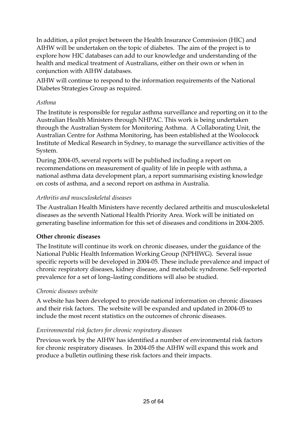In addition, a pilot project between the Health Insurance Commission (HIC) and AIHW will be undertaken on the topic of diabetes. The aim of the project is to explore how HIC databases can add to our knowledge and understanding of the health and medical treatment of Australians, either on their own or when in conjunction with AIHW databases.

AIHW will continue to respond to the information requirements of the National Diabetes Strategies Group as required.

#### *Asthma*

The Institute is responsible for regular asthma surveillance and reporting on it to the Australian Health Ministers through NHPAC. This work is being undertaken through the Australian System for Monitoring Asthma. A Collaborating Unit, the Australian Centre for Asthma Monitoring, has been established at the Woolocock Institute of Medical Research in Sydney, to manage the surveillance activities of the System.

During 2004-05, several reports will be published including a report on recommendations on measurement of quality of life in people with asthma, a national asthma data development plan, a report summarising existing knowledge on costs of asthma, and a second report on asthma in Australia.

#### *Arthritis and musculoskeletal diseases*

The Australian Health Ministers have recently declared arthritis and musculoskeletal diseases as the seventh National Health Priority Area. Work will be initiated on generating baseline information for this set of diseases and conditions in 2004-2005.

#### **Other chronic diseases**

The Institute will continue its work on chronic diseases, under the guidance of the National Public Health Information Working Group (NPHIWG). Several issue specific reports will be developed in 2004-05. These include prevalence and impact of chronic respiratory diseases, kidney disease, and metabolic syndrome. Self-reported prevalence for a set of long–lasting conditions will also be studied.

#### *Chronic diseases website*

A website has been developed to provide national information on chronic diseases and their risk factors. The website will be expanded and updated in 2004-05 to include the most recent statistics on the outcomes of chronic diseases.

#### *Environmental risk factors for chronic respiratory diseases*

Previous work by the AIHW has identified a number of environmental risk factors for chronic respiratory diseases. In 2004-05 the AIHW will expand this work and produce a bulletin outlining these risk factors and their impacts.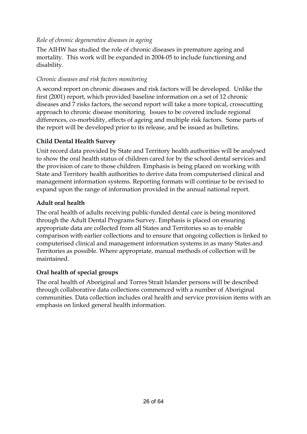#### *Role of chronic degenerative diseases in ageing*

The AIHW has studied the role of chronic diseases in premature ageing and mortality. This work will be expanded in 2004-05 to include functioning and disability.

#### *Chronic diseases and risk factors monitoring*

A second report on chronic diseases and risk factors will be developed. Unlike the first (2001) report, which provided baseline information on a set of 12 chronic diseases and 7 risks factors, the second report will take a more topical, crosscutting approach to chronic disease monitoring. Issues to be covered include regional differences, co-morbidity, effects of ageing and multiple risk factors. Some parts of the report will be developed prior to its release, and be issued as bulletins.

#### **Child Dental Health Survey**

Unit record data provided by State and Territory health authorities will be analysed to show the oral health status of children cared for by the school dental services and the provision of care to those children. Emphasis is being placed on working with State and Territory health authorities to derive data from computerised clinical and management information systems. Reporting formats will continue to be revised to expand upon the range of information provided in the annual national report.

#### **Adult oral health**

The oral health of adults receiving public-funded dental care is being monitored through the Adult Dental Programs Survey. Emphasis is placed on ensuring appropriate data are collected from all States and Territories so as to enable comparison with earlier collections and to ensure that ongoing collection is linked to computerised clinical and management information systems in as many States and Territories as possible. Where appropriate, manual methods of collection will be maintained.

#### **Oral health of special groups**

The oral health of Aboriginal and Torres Strait Islander persons will be described through collaborative data collections commenced with a number of Aboriginal communities. Data collection includes oral health and service provision items with an emphasis on linked general health information.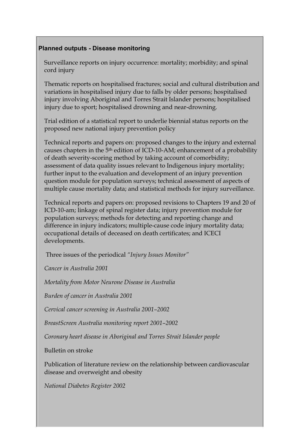#### **Planned outputs - Disease monitoring**

Surveillance reports on injury occurrence: mortality; morbidity; and spinal cord injury

Thematic reports on hospitalised fractures; social and cultural distribution and variations in hospitalised injury due to falls by older persons; hospitalised injury involving Aboriginal and Torres Strait Islander persons; hospitalised injury due to sport; hospitalised drowning and near-drowning.

Trial edition of a statistical report to underlie biennial status reports on the proposed new national injury prevention policy

Technical reports and papers on: proposed changes to the injury and external causes chapters in the 5th edition of ICD-10-AM; enhancement of a probability of death severity-scoring method by taking account of comorbidity; assessment of data quality issues relevant to Indigenous injury mortality; further input to the evaluation and development of an injury prevention question module for population surveys; technical assessment of aspects of multiple cause mortality data; and statistical methods for injury surveillance.

Technical reports and papers on: proposed revisions to Chapters 19 and 20 of ICD-10-am; linkage of spinal register data; injury prevention module for population surveys; methods for detecting and reporting change and difference in injury indicators; multiple-cause code injury mortality data; occupational details of deceased on death certificates; and ICECI developments.

Three issues of the periodical *"Injury Issues Monitor"* 

*Cancer in Australia 2001* 

*Mortality from Motor Neurone Disease in Australia* 

*Burden of cancer in Australia 2001* 

*Cervical cancer screening in Australia 2001–2002*

*BreastScreen Australia monitoring report 2001–2002* 

*Coronary heart disease in Aboriginal and Torres Strait Islander people* 

Bulletin on stroke

Publication of literature review on the relationship between cardiovascular disease and overweight and obesity

*National Diabetes Register 2002*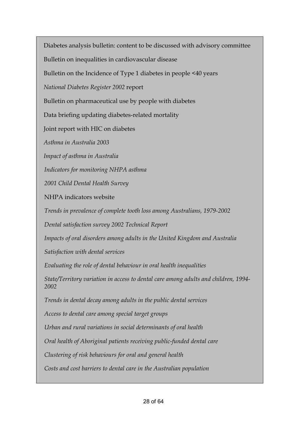Diabetes analysis bulletin: content to be discussed with advisory committee

Bulletin on inequalities in cardiovascular disease

Bulletin on the Incidence of Type 1 diabetes in people <40 years

*National Diabetes Register 2002* report

Bulletin on pharmaceutical use by people with diabetes

Data briefing updating diabetes-related mortality

Joint report with HIC on diabetes

*Asthma in Australia 2003* 

*Impact of asthma in Australia* 

*Indicators for monitoring NHPA asthma* 

*2001 Child Dental Health Survey* 

NHPA indicators website

*Trends in prevalence of complete tooth loss among Australians, 1979-2002* 

*Dental satisfaction survey 2002 Technical Report* 

*Impacts of oral disorders among adults in the United Kingdom and Australia* 

*Satisfaction with dental services* 

*Evaluating the role of dental behaviour in oral health inequalities* 

*State/Territory variation in access to dental care among adults and children, 1994- 2002* 

*Trends in dental decay among adults in the public dental services* 

*Access to dental care among special target groups* 

*Urban and rural variations in social determinants of oral health* 

*Oral health of Aboriginal patients receiving public-funded dental care* 

*Clustering of risk behaviours for oral and general health* 

*Costs and cost barriers to dental care in the Australian population*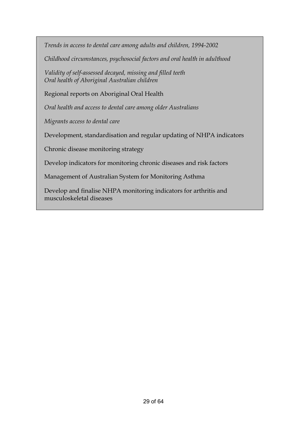*Trends in access to dental care among adults and children, 1994-2002* 

*Childhood circumstances, psychosocial factors and oral health in adulthood* 

*Validity of self-assessed decayed, missing and filled teeth Oral health of Aboriginal Australian children* 

Regional reports on Aboriginal Oral Health

*Oral health and access to dental care among older Australians* 

*Migrants access to dental care* 

Development, standardisation and regular updating of NHPA indicators

Chronic disease monitoring strategy

Develop indicators for monitoring chronic diseases and risk factors

Management of Australian System for Monitoring Asthma

Develop and finalise NHPA monitoring indicators for arthritis and musculoskeletal diseases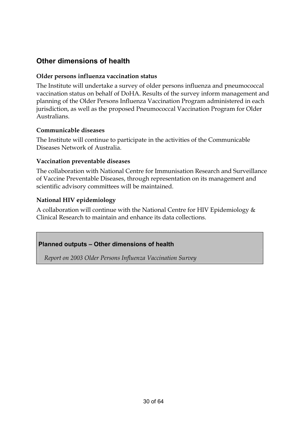#### **Other dimensions of health**

#### **Older persons influenza vaccination status**

The Institute will undertake a survey of older persons influenza and pneumococcal vaccination status on behalf of DoHA. Results of the survey inform management and planning of the Older Persons Influenza Vaccination Program administered in each jurisdiction, as well as the proposed Pneumococcal Vaccination Program for Older Australians.

#### **Communicable diseases**

The Institute will continue to participate in the activities of the Communicable Diseases Network of Australia.

#### **Vaccination preventable diseases**

The collaboration with National Centre for Immunisation Research and Surveillance of Vaccine Preventable Diseases, through representation on its management and scientific advisory committees will be maintained.

#### **National HIV epidemiology**

A collaboration will continue with the National Centre for HIV Epidemiology & Clinical Research to maintain and enhance its data collections.

#### **Planned outputs – Other dimensions of health**

*Report on 2003 Older Persons Influenza Vaccination Survey*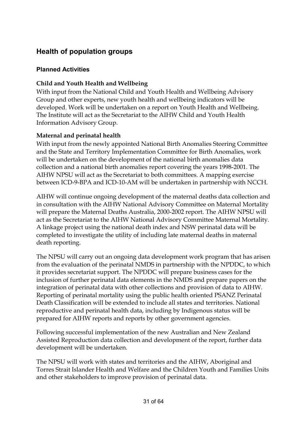#### **Health of population groups**

#### **Planned Activities**

#### **Child and Youth Health and Wellbeing**

With input from the National Child and Youth Health and Wellbeing Advisory Group and other experts, new youth health and wellbeing indicators will be developed. Work will be undertaken on a report on Youth Health and Wellbeing. The Institute will act as the Secretariat to the AIHW Child and Youth Health Information Advisory Group.

#### **Maternal and perinatal health**

With input from the newly appointed National Birth Anomalies Steering Committee and the State and Territory Implementation Committee for Birth Anomalies, work will be undertaken on the development of the national birth anomalies data collection and a national birth anomalies report covering the years 1998-2001. The AIHW NPSU will act as the Secretariat to both committees. A mapping exercise between ICD-9-BPA and ICD-10-AM will be undertaken in partnership with NCCH.

AIHW will continue ongoing development of the maternal deaths data collection and in consultation with the AIHW National Advisory Committee on Maternal Mortality will prepare the Maternal Deaths Australia, 2000-2002 report. The AIHW NPSU will act as the Secretariat to the AIHW National Advisory Committee Maternal Mortality. A linkage project using the national death index and NSW perinatal data will be completed to investigate the utility of including late maternal deaths in maternal death reporting.

The NPSU will carry out an ongoing data development work program that has arisen from the evaluation of the perinatal NMDS in partnership with the NPDDC, to which it provides secretariat support. The NPDDC will prepare business cases for the inclusion of further perinatal data elements in the NMDS and prepare papers on the integration of perinatal data with other collections and provision of data to AIHW. Reporting of perinatal mortality using the public health oriented PSANZ Perinatal Death Classification will be extended to include all states and territories. National reproductive and perinatal health data, including by Indigenous status will be prepared for AIHW reports and reports by other government agencies.

Following successful implementation of the new Australian and New Zealand Assisted Reproduction data collection and development of the report, further data development will be undertaken.

The NPSU will work with states and territories and the AIHW, Aboriginal and Torres Strait Islander Health and Welfare and the Children Youth and Families Units and other stakeholders to improve provision of perinatal data.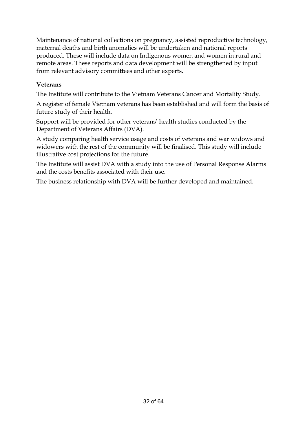Maintenance of national collections on pregnancy, assisted reproductive technology, maternal deaths and birth anomalies will be undertaken and national reports produced. These will include data on Indigenous women and women in rural and remote areas. These reports and data development will be strengthened by input from relevant advisory committees and other experts.

#### **Veterans**

The Institute will contribute to the Vietnam Veterans Cancer and Mortality Study.

A register of female Vietnam veterans has been established and will form the basis of future study of their health.

Support will be provided for other veterans' health studies conducted by the Department of Veterans Affairs (DVA).

A study comparing health service usage and costs of veterans and war widows and widowers with the rest of the community will be finalised. This study will include illustrative cost projections for the future.

The Institute will assist DVA with a study into the use of Personal Response Alarms and the costs benefits associated with their use.

The business relationship with DVA will be further developed and maintained.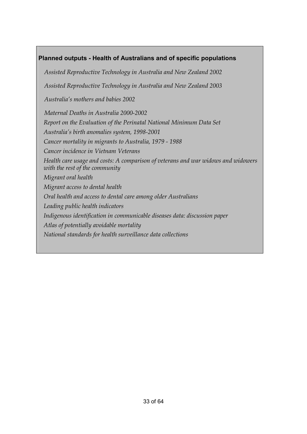#### **Planned outputs - Health of Australians and of specific populations**

*Assisted Reproductive Technology in Australia and New Zealand 2002 Assisted Reproductive Technology in Australia and New Zealand 2003 Australia's mothers and babies 2002 Maternal Deaths in Australia 2000-2002 Report on the Evaluation of the Perinatal National Minimum Data Set Australia's birth anomalies system, 1998-2001 Cancer mortality in migrants to Australia, 1979 - 1988 Cancer incidence in Vietnam Veterans Health care usage and costs: A comparison of veterans and war widows and widowers with the rest of the community Migrant oral health Migrant access to dental health Oral health and access to dental care among older Australians Leading public health indicators Indigenous identification in communicable diseases data: discussion paper Atlas of potentially avoidable mortality National standards for health surveillance data collections*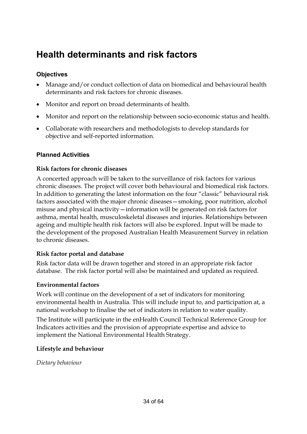### **Health determinants and risk factors**

#### **Objectives**

- Manage and/or conduct collection of data on biomedical and behavioural health determinants and risk factors for chronic diseases.
- Monitor and report on broad determinants of health.
- Monitor and report on the relationship between socio-economic status and health.
- Collaborate with researchers and methodologists to develop standards for objective and self-reported information.

#### **Planned Activities**

#### **Risk factors for chronic diseases**

A concerted approach will be taken to the surveillance of risk factors for various chronic diseases. The project will cover both behavioural and biomedical risk factors. In addition to generating the latest information on the four "classic" behavioural risk factors associated with the major chronic diseases—smoking, poor nutrition, alcohol misuse and physical inactivity—information will be generated on risk factors for asthma, mental health, musculoskeletal diseases and injuries. Relationships between ageing and multiple health risk factors will also be explored. Input will be made to the development of the proposed Australian Health Measurement Survey in relation to chronic diseases.

#### **Risk factor portal and database**

Risk factor data will be drawn together and stored in an appropriate risk factor database. The risk factor portal will also be maintained and updated as required.

#### **Environmental factors**

Work will continue on the development of a set of indicators for monitoring environmental health in Australia. This will include input to, and participation at, a national workshop to finalise the set of indicators in relation to water quality.

The Institute will participate in the enHealth Council Technical Reference Group for Indicators activities and the provision of appropriate expertise and advice to implement the National Environmental Health Strategy.

#### **Lifestyle and behaviour**

*Dietary behaviour*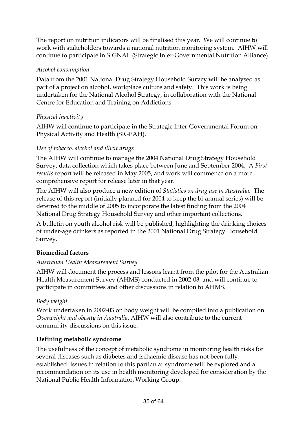The report on nutrition indicators will be finalised this year. We will continue to work with stakeholders towards a national nutrition monitoring system. AIHW will continue to participate in SIGNAL (Strategic Inter-Governmental Nutrition Alliance).

#### *Alcohol consumption*

Data from the 2001 National Drug Strategy Household Survey will be analysed as part of a project on alcohol, workplace culture and safety. This work is being undertaken for the National Alcohol Strategy, in collaboration with the National Centre for Education and Training on Addictions.

#### *Physical inactivity*

AIHW will continue to participate in the Strategic Inter-Governmental Forum on Physical Activity and Health (SIGPAH).

#### *Use of tobacco, alcohol and illicit drugs*

The AIHW will continue to manage the 2004 National Drug Strategy Household Survey, data collection which takes place between June and September 2004. A *First results* report will be released in May 2005, and work will commence on a more comprehensive report for release later in that year.

The AIHW will also produce a new edition of *Statistics on drug use in Australia*. The release of this report (initially planned for 2004 to keep the bi-annual series) will be deferred to the middle of 2005 to incorporate the latest finding from the 2004 National Drug Strategy Household Survey and other important collections.

A bulletin on youth alcohol risk will be published, highlighting the drinking choices of under-age drinkers as reported in the 2001 National Drug Strategy Household Survey.

#### **Biomedical factors**

#### *Australian Health Measurement Survey*

AIHW will document the process and lessons learnt from the pilot for the Australian Health Measurement Survey (AHMS) conducted in 2002-03, and will continue to participate in committees and other discussions in relation to AHMS.

#### *Body weight*

Work undertaken in 2002-03 on body weight will be compiled into a publication on *Overweight and obesity in Australia*. AIHW will also contribute to the current community discussions on this issue.

#### **Defining metabolic syndrome**

The usefulness of the concept of metabolic syndrome in monitoring health risks for several diseases such as diabetes and ischaemic disease has not been fully established. Issues in relation to this particular syndrome will be explored and a recommendation on its use in health monitoring developed for consideration by the National Public Health Information Working Group.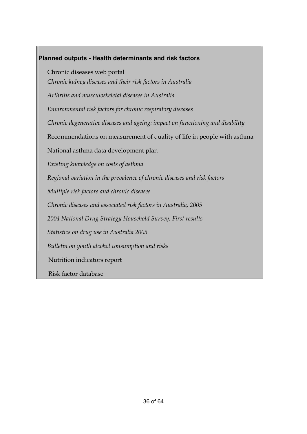### **Planned outputs - Health determinants and risk factors**  Chronic diseases web portal *Chronic kidney diseases and their risk factors in Australia Arthritis and musculoskeletal diseases in Australia Environmental risk factors for chronic respiratory diseases Chronic degenerative diseases and ageing: impact on functioning and disability*  Recommendations on measurement of quality of life in people with asthma National asthma data development plan *Existing knowledge on costs of asthma Regional variation in the prevalence of chronic diseases and risk factors Multiple risk factors and chronic diseases Chronic diseases and associated risk factors in Australia, 2005 2004 National Drug Strategy Household Survey: First results Statistics on drug use in Australia 2005 Bulletin on youth alcohol consumption and risks*  Nutrition indicators report Risk factor database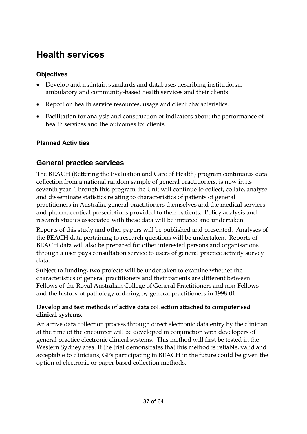### **Health services**

#### **Objectives**

- Develop and maintain standards and databases describing institutional, ambulatory and community-based health services and their clients.
- Report on health service resources, usage and client characteristics.
- Facilitation for analysis and construction of indicators about the performance of health services and the outcomes for clients.

#### **Planned Activities**

#### **General practice services**

The BEACH (Bettering the Evaluation and Care of Health) program continuous data collection from a national random sample of general practitioners, is now in its seventh year. Through this program the Unit will continue to collect, collate, analyse and disseminate statistics relating to characteristics of patients of general practitioners in Australia, general practitioners themselves and the medical services and pharmaceutical prescriptions provided to their patients. Policy analysis and research studies associated with these data will be initiated and undertaken.

Reports of this study and other papers will be published and presented. Analyses of the BEACH data pertaining to research questions will be undertaken. Reports of BEACH data will also be prepared for other interested persons and organisations through a user pays consultation service to users of general practice activity survey data.

Subject to funding, two projects will be undertaken to examine whether the characteristics of general practitioners and their patients are different between Fellows of the Royal Australian College of General Practitioners and non-Fellows and the history of pathology ordering by general practitioners in 1998-01.

#### **Develop and test methods of active data collection attached to computerised clinical systems.**

An active data collection process through direct electronic data entry by the clinician at the time of the encounter will be developed in conjunction with developers of general practice electronic clinical systems. This method will first be tested in the Western Sydney area. If the trial demonstrates that this method is reliable, valid and acceptable to clinicians, GPs participating in BEACH in the future could be given the option of electronic or paper based collection methods.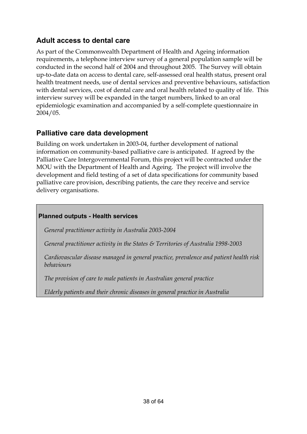#### **Adult access to dental care**

As part of the Commonwealth Department of Health and Ageing information requirements, a telephone interview survey of a general population sample will be conducted in the second half of 2004 and throughout 2005. The Survey will obtain up-to-date data on access to dental care, self-assessed oral health status, present oral health treatment needs, use of dental services and preventive behaviours, satisfaction with dental services, cost of dental care and oral health related to quality of life. This interview survey will be expanded in the target numbers, linked to an oral epidemiologic examination and accompanied by a self-complete questionnaire in 2004/05.

#### **Palliative care data development**

Building on work undertaken in 2003-04, further development of national information on community-based palliative care is anticipated. If agreed by the Palliative Care Intergovernmental Forum, this project will be contracted under the MOU with the Department of Health and Ageing. The project will involve the development and field testing of a set of data specifications for community based palliative care provision, describing patients, the care they receive and service delivery organisations.

#### **Planned outputs - Health services**

*General practitioner activity in Australia 2003-2004* 

*General practitioner activity in the States & Territories of Australia 1998-2003* 

*Cardiovascular disease managed in general practice, prevalence and patient health risk behaviours* 

*The provision of care to male patients in Australian general practice* 

*Elderly patients and their chronic diseases in general practice in Australia*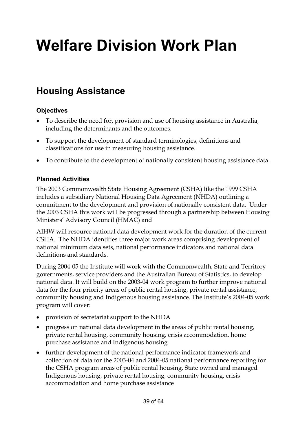# **Welfare Division Work Plan**

### **Housing Assistance**

#### **Objectives**

- To describe the need for, provision and use of housing assistance in Australia, including the determinants and the outcomes.
- To support the development of standard terminologies, definitions and classifications for use in measuring housing assistance.
- To contribute to the development of nationally consistent housing assistance data.

#### **Planned Activities**

The 2003 Commonwealth State Housing Agreement (CSHA) like the 1999 CSHA includes a subsidiary National Housing Data Agreement (NHDA) outlining a commitment to the development and provision of nationally consistent data. Under the 2003 CSHA this work will be progressed through a partnership between Housing Ministers' Advisory Council (HMAC) and

AIHW will resource national data development work for the duration of the current CSHA. The NHDA identifies three major work areas comprising development of national minimum data sets, national performance indicators and national data definitions and standards.

During 2004-05 the Institute will work with the Commonwealth, State and Territory governments, service providers and the Australian Bureau of Statistics, to develop national data. It will build on the 2003-04 work program to further improve national data for the four priority areas of public rental housing, private rental assistance, community housing and Indigenous housing assistance. The Institute's 2004-05 work program will cover:

- provision of secretariat support to the NHDA
- progress on national data development in the areas of public rental housing, private rental housing, community housing, crisis accommodation, home purchase assistance and Indigenous housing
- further development of the national performance indicator framework and collection of data for the 2003-04 and 2004-05 national performance reporting for the CSHA program areas of public rental housing, State owned and managed Indigenous housing, private rental housing, community housing, crisis accommodation and home purchase assistance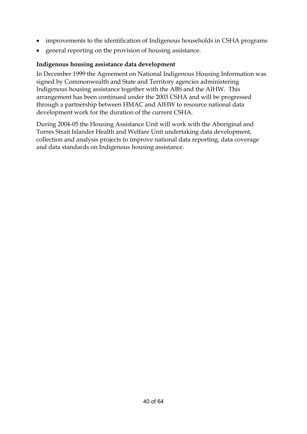- improvements to the identification of Indigenous households in CSHA programs
- general reporting on the provision of housing assistance.

#### **Indigenous housing assistance data development**

In December 1999 the Agreement on National Indigenous Housing Information was signed by Commonwealth and State and Territory agencies administering Indigenous housing assistance together with the ABS and the AIHW. This arrangement has been continued under the 2003 CSHA and will be progressed through a partnership between HMAC and AIHW to resource national data development work for the duration of the current CSHA.

During 2004-05 the Housing Assistance Unit will work with the Aboriginal and Torres Strait Islander Health and Welfare Unit undertaking data development, collection and analysis projects to improve national data reporting, data coverage and data standards on Indigenous housing assistance.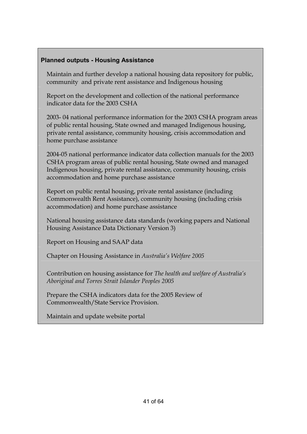#### **Planned outputs - Housing Assistance**

Maintain and further develop a national housing data repository for public, community and private rent assistance and Indigenous housing

Report on the development and collection of the national performance indicator data for the 2003 CSHA

2003- 04 national performance information for the 2003 CSHA program areas of public rental housing, State owned and managed Indigenous housing, private rental assistance, community housing, crisis accommodation and home purchase assistance

2004-05 national performance indicator data collection manuals for the 2003 CSHA program areas of public rental housing, State owned and managed Indigenous housing, private rental assistance, community housing, crisis accommodation and home purchase assistance

Report on public rental housing, private rental assistance (including Commonwealth Rent Assistance), community housing (including crisis accommodation) and home purchase assistance

National housing assistance data standards (working papers and National Housing Assistance Data Dictionary Version 3)

Report on Housing and SAAP data

Chapter on Housing Assistance in *Australia's Welfare 2005*

Contribution on housing assistance for *The health and welfare of Australia's Aboriginal and Torres Strait Islander Peoples 2005*

Prepare the CSHA indicators data for the 2005 Review of Commonwealth/State Service Provision.

Maintain and update website portal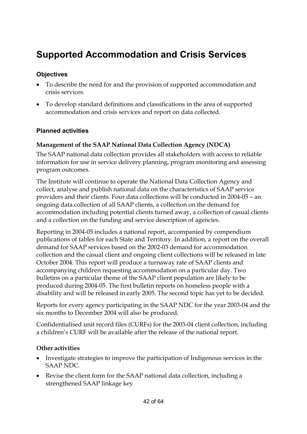### **Supported Accommodation and Crisis Services**

#### **Objectives**

- To describe the need for and the provision of supported accommodation and crisis services.
- To develop standard definitions and classifications in the area of supported accommodation and crisis services and report on data collected.

#### **Planned activities**

#### **Management of the SAAP National Data Collection Agency (NDCA)**

The SAAP national data collection provides all stakeholders with access to reliable information for use in service delivery planning, program monitoring and assessing program outcomes.

The Institute will continue to operate the National Data Collection Agency and collect, analyse and publish national data on the characteristics of SAAP service providers and their clients. Four data collections will be conducted in 2004-05 – an ongoing data collection of all SAAP clients, a collection on the demand for accommodation including potential clients turned away, a collection of casual clients and a collection on the funding and service description of agencies.

Reporting in 2004-05 includes a national report, accompanied by compendium publications of tables for each State and Territory. In addition, a report on the overall demand for SAAP services based on the 2002-03 demand for accommodation collection and the casual client and ongoing client collections will be released in late October 2004. This report will produce a turnaway rate of SAAP clients and accompanying children requesting accommodation on a particular day. Two bulletins on a particular theme of the SAAP client population are likely to be produced during 2004-05. The first bulletin reports on homeless people with a disability and will be released in early 2005. The second topic has yet to be decided.

Reports for every agency participating in the SAAP NDC for the year 2003-04 and the six months to December 2004 will also be produced.

Confidentialised unit record files (CURFs) for the 2003-04 client collection, including a children's CURF will be available after the release of the national report.

#### **Other activities**

- Investigate strategies to improve the participation of Indigenous services in the SAAP NDC.
- Revise the client form for the SAAP national data collection, including a strengthened SAAP linkage key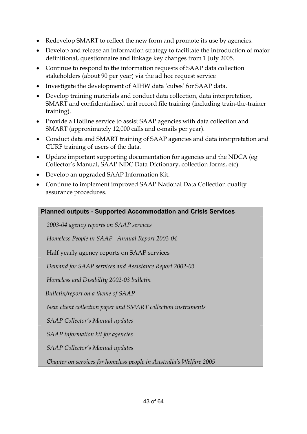- Redevelop SMART to reflect the new form and promote its use by agencies.
- Develop and release an information strategy to facilitate the introduction of major definitional, questionnaire and linkage key changes from 1 July 2005.
- Continue to respond to the information requests of SAAP data collection stakeholders (about 90 per year) via the ad hoc request service
- Investigate the development of AIHW data 'cubes' for SAAP data.
- Develop training materials and conduct data collection, data interpretation, SMART and confidentialised unit record file training (including train-the-trainer training).
- Provide a Hotline service to assist SAAP agencies with data collection and SMART (approximately 12,000 calls and e-mails per year).
- Conduct data and SMART training of SAAP agencies and data interpretation and CURF training of users of the data.
- Update important supporting documentation for agencies and the NDCA (eg Collector's Manual, SAAP NDC Data Dictionary, collection forms, etc).
- Develop an upgraded SAAP Information Kit.
- Continue to implement improved SAAP National Data Collection quality assurance procedures.

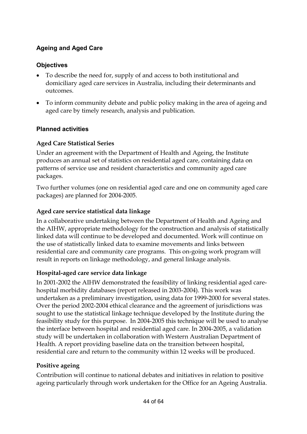#### **Ageing and Aged Care**

#### **Objectives**

- To describe the need for, supply of and access to both institutional and domiciliary aged care services in Australia, including their determinants and outcomes.
- To inform community debate and public policy making in the area of ageing and aged care by timely research, analysis and publication.

#### **Planned activities**

#### **Aged Care Statistical Series**

Under an agreement with the Department of Health and Ageing, the Institute produces an annual set of statistics on residential aged care, containing data on patterns of service use and resident characteristics and community aged care packages.

Two further volumes (one on residential aged care and one on community aged care packages) are planned for 2004-2005.

#### **Aged care service statistical data linkage**

In a collaborative undertaking between the Department of Health and Ageing and the AIHW, appropriate methodology for the construction and analysis of statistically linked data will continue to be developed and documented. Work will continue on the use of statistically linked data to examine movements and links between residential care and community care programs. This on-going work program will result in reports on linkage methodology, and general linkage analysis.

#### **Hospital-aged care service data linkage**

In 2001-2002 the AIHW demonstrated the feasibility of linking residential aged carehospital morbidity databases (report released in 2003-2004). This work was undertaken as a preliminary investigation, using data for 1999-2000 for several states. Over the period 2002-2004 ethical clearance and the agreement of jurisdictions was sought to use the statistical linkage technique developed by the Institute during the feasibility study for this purpose. In 2004-2005 this technique will be used to analyse the interface between hospital and residential aged care. In 2004-2005, a validation study will be undertaken in collaboration with Western Australian Department of Health. A report providing baseline data on the transition between hospital, residential care and return to the community within 12 weeks will be produced.

#### **Positive ageing**

Contribution will continue to national debates and initiatives in relation to positive ageing particularly through work undertaken for the Office for an Ageing Australia.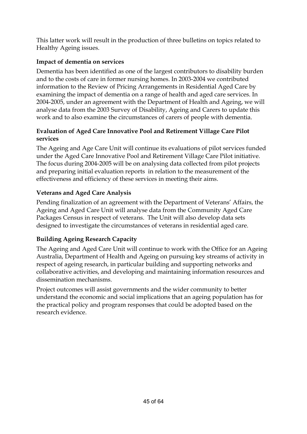This latter work will result in the production of three bulletins on topics related to Healthy Ageing issues.

#### **Impact of dementia on services**

Dementia has been identified as one of the largest contributors to disability burden and to the costs of care in former nursing homes. In 2003-2004 we contributed information to the Review of Pricing Arrangements in Residential Aged Care by examining the impact of dementia on a range of health and aged care services. In 2004-2005, under an agreement with the Department of Health and Ageing, we will analyse data from the 2003 Survey of Disability, Ageing and Carers to update this work and to also examine the circumstances of carers of people with dementia.

#### **Evaluation of Aged Care Innovative Pool and Retirement Village Care Pilot services**

The Ageing and Age Care Unit will continue its evaluations of pilot services funded under the Aged Care Innovative Pool and Retirement Village Care Pilot initiative. The focus during 2004-2005 will be on analysing data collected from pilot projects and preparing initial evaluation reports in relation to the measurement of the effectiveness and efficiency of these services in meeting their aims.

#### **Veterans and Aged Care Analysis**

Pending finalization of an agreement with the Department of Veterans' Affairs, the Ageing and Aged Care Unit will analyse data from the Community Aged Care Packages Census in respect of veterans. The Unit will also develop data sets designed to investigate the circumstances of veterans in residential aged care.

#### **Building Ageing Research Capacity**

The Ageing and Aged Care Unit will continue to work with the Office for an Ageing Australia, Department of Health and Ageing on pursuing key streams of activity in respect of ageing research, in particular building and supporting networks and collaborative activities, and developing and maintaining information resources and dissemination mechanisms.

Project outcomes will assist governments and the wider community to better understand the economic and social implications that an ageing population has for the practical policy and program responses that could be adopted based on the research evidence.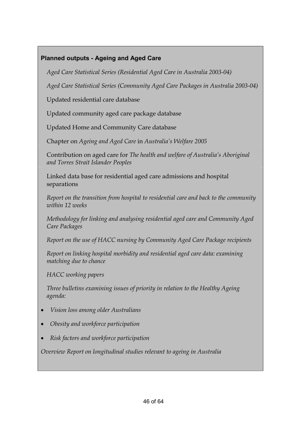#### **Planned outputs - Ageing and Aged Care**

*Aged Care Statistical Series (Residential Aged Care in Australia 2003-04)* 

*Aged Care Statistical Series (Community Aged Care Packages in Australia 2003-04)* 

Updated residential care database

Updated community aged care package database

Updated Home and Community Care database

Chapter on *Ageing and Aged Care* in *Australia's Welfare 2005* 

Contribution on aged care for *The health and welfare of Australia's Aboriginal and Torres Strait Islander Peoples* 

Linked data base for residential aged care admissions and hospital separations

*Report on the transition from hospital to residential care and back to the community within 12 weeks* 

*Methodology for linking and analysing residential aged care and Community Aged Care Packages* 

*Report on the use of HACC nursing by Community Aged Care Package recipients* 

*Report on linking hospital morbidity and residential aged care data: examining matching due to chance* 

*HACC working papers* 

*Three bulletins examining issues of priority in relation to the Healthy Ageing agenda:* 

- *Vision loss among older Australians*
- *Obesity and workforce participation*
- *Risk factors and workforce participation*

*Overview Report on longitudinal studies relevant to ageing in Australia*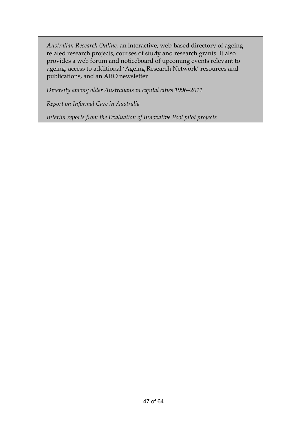*Australian Research Online,* an interactive, web-based directory of ageing related research projects, courses of study and research grants. It also provides a web forum and noticeboard of upcoming events relevant to ageing, access to additional 'Ageing Research Network' resources and publications, and an ARO newsletter

*Diversity among older Australians in capital cities 1996–2011* 

*Report on Informal Care in Australia* 

*Interim reports from the Evaluation of Innovative Pool pilot projects*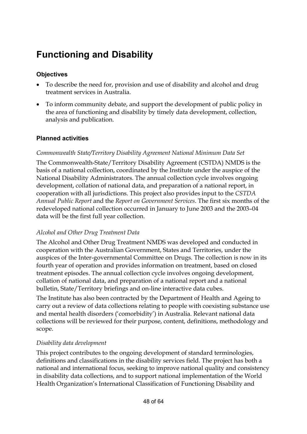### **Functioning and Disability**

#### **Objectives**

- To describe the need for, provision and use of disability and alcohol and drug treatment services in Australia.
- To inform community debate, and support the development of public policy in the area of functioning and disability by timely data development, collection, analysis and publication.

#### **Planned activities**

#### *Commonwealth State/Territory Disability Agreement National Minimum Data Set*

The Commonwealth-State/Territory Disability Agreement (CSTDA) NMDS is the basis of a national collection, coordinated by the Institute under the auspice of the National Disability Administrators. The annual collection cycle involves ongoing development, collation of national data, and preparation of a national report, in cooperation with all jurisdictions. This project also provides input to the *CSTDA Annual Public Report* and the *Report on Government Services*. The first six months of the redeveloped national collection occurred in January to June 2003 and the 2003–04 data will be the first full year collection.

#### *Alcohol and Other Drug Treatment Data*

The Alcohol and Other Drug Treatment NMDS was developed and conducted in cooperation with the Australian Government, States and Territories, under the auspices of the Inter-governmental Committee on Drugs. The collection is now in its fourth year of operation and provides information on treatment, based on closed treatment episodes. The annual collection cycle involves ongoing development, collation of national data, and preparation of a national report and a national bulletin, State/Territory briefings and on-line interactive data cubes.

The Institute has also been contracted by the Department of Health and Ageing to carry out a review of data collections relating to people with coexisting substance use and mental health disorders ('comorbidity') in Australia. Relevant national data collections will be reviewed for their purpose, content, definitions, methodology and scope.

#### *Disability data development*

This project contributes to the ongoing development of standard terminologies, definitions and classifications in the disability services field. The project has both a national and international focus, seeking to improve national quality and consistency in disability data collections, and to support national implementation of the World Health Organization's International Classification of Functioning Disability and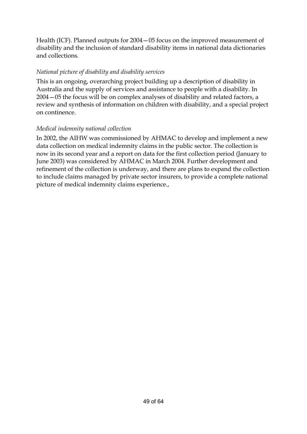Health (ICF). Planned outputs for 2004—05 focus on the improved measurement of disability and the inclusion of standard disability items in national data dictionaries and collections.

#### *National picture of disability and disability services*

This is an ongoing, overarching project building up a description of disability in Australia and the supply of services and assistance to people with a disability. In 2004—05 the focus will be on complex analyses of disability and related factors, a review and synthesis of information on children with disability, and a special project on continence.

#### *Medical indemnity national collection*

In 2002, the AIHW was commissioned by AHMAC to develop and implement a new data collection on medical indemnity claims in the public sector. The collection is now in its second year and a report on data for the first collection period (January to June 2003) was considered by AHMAC in March 2004. Further development and refinement of the collection is underway, and there are plans to expand the collection to include claims managed by private sector insurers, to provide a complete national picture of medical indemnity claims experience.,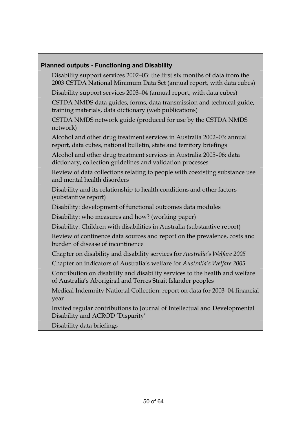#### **Planned outputs - Functioning and Disability**

- Disability support services 2002–03: the first six months of data from the 2003 CSTDA National Minimum Data Set (annual report, with data cubes)
- Disability support services 2003–04 (annual report, with data cubes)
- CSTDA NMDS data guides, forms, data transmission and technical guide, training materials, data dictionary (web publications)
- CSTDA NMDS network guide (produced for use by the CSTDA NMDS network)
- Alcohol and other drug treatment services in Australia 2002–03: annual report, data cubes, national bulletin, state and territory briefings
- Alcohol and other drug treatment services in Australia 2005–06: data dictionary, collection guidelines and validation processes
- Review of data collections relating to people with coexisting substance use and mental health disorders
- Disability and its relationship to health conditions and other factors (substantive report)
- Disability: development of functional outcomes data modules
- Disability: who measures and how? (working paper)
- Disability: Children with disabilities in Australia (substantive report)
- Review of continence data sources and report on the prevalence, costs and burden of disease of incontinence
- Chapter on disability and disability services for *Australia's Welfare 2005*
- Chapter on indicators of Australia's welfare for *Australia's Welfare 2005*
- Contribution on disability and disability services to the health and welfare of Australia's Aboriginal and Torres Strait Islander peoples
- Medical Indemnity National Collection: report on data for 2003–04 financial year
- Invited regular contributions to Journal of Intellectual and Developmental Disability and ACROD 'Disparity'
- Disability data briefings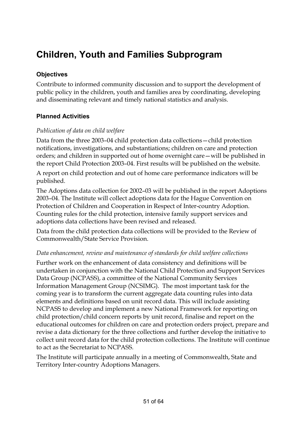### **Children, Youth and Families Subprogram**

#### **Objectives**

Contribute to informed community discussion and to support the development of public policy in the children, youth and families area by coordinating, developing and disseminating relevant and timely national statistics and analysis.

#### **Planned Activities**

#### *Publication of data on child welfare*

Data from the three 2003–04 child protection data collections—child protection notifications, investigations, and substantiations; children on care and protection orders; and children in supported out of home overnight care—will be published in the report Child Protection 2003–04. First results will be published on the website.

A report on child protection and out of home care performance indicators will be published.

The Adoptions data collection for 2002–03 will be published in the report Adoptions 2003–04. The Institute will collect adoptions data for the Hague Convention on Protection of Children and Cooperation in Respect of Inter-country Adoption. Counting rules for the child protection, intensive family support services and adoptions data collections have been revised and released.

Data from the child protection data collections will be provided to the Review of Commonwealth/State Service Provision.

#### *Data enhancement, review and maintenance of standards for child welfare collections*

Further work on the enhancement of data consistency and definitions will be undertaken in conjunction with the National Child Protection and Support Services Data Group (NCPASS), a committee of the National Community Services Information Management Group (NCSIMG). The most important task for the coming year is to transform the current aggregate data counting rules into data elements and definitions based on unit record data. This will include assisting NCPASS to develop and implement a new National Framework for reporting on child protection/child concern reports by unit record, finalise and report on the educational outcomes for children on care and protection orders project, prepare and revise a data dictionary for the three collections and further develop the initiative to collect unit record data for the child protection collections. The Institute will continue to act as the Secretariat to NCPASS.

The Institute will participate annually in a meeting of Commonwealth, State and Territory Inter-country Adoptions Managers.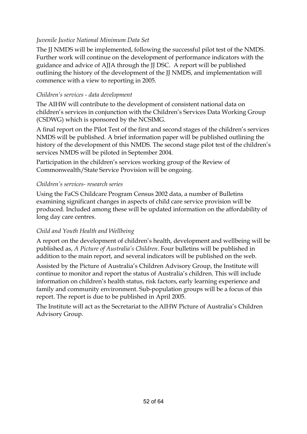#### *Juvenile Justice National Minimum Data Set*

The JJ NMDS will be implemented, following the successful pilot test of the NMDS. Further work will continue on the development of performance indicators with the guidance and advice of AJJA through the JJ DSC. A report will be published outlining the history of the development of the JJ NMDS, and implementation will commence with a view to reporting in 2005.

#### *Children's services - data development*

The AIHW will contribute to the development of consistent national data on children's services in conjunction with the Children's Services Data Working Group (CSDWG) which is sponsored by the NCSIMG.

A final report on the Pilot Test of the first and second stages of the children's services NMDS will be published. A brief information paper will be published outlining the history of the development of this NMDS. The second stage pilot test of the children's services NMDS will be piloted in September 2004.

Participation in the children's services working group of the Review of Commonwealth/State Service Provision will be ongoing.

#### *Children's services- research series*

Using the FaCS Childcare Program Census 2002 data, a number of Bulletins examining significant changes in aspects of child care service provision will be produced. Included among these will be updated information on the affordability of long day care centres.

#### *Child and Youth Health and Wellbeing*

A report on the development of children's health, development and wellbeing will be published as, *A Picture of Australia's Children*. Four bulletins will be published in addition to the main report, and several indicators will be published on the web.

Assisted by the Picture of Australia's Children Advisory Group, the Institute will continue to monitor and report the status of Australia's children. This will include information on children's health status, risk factors, early learning experience and family and community environment. Sub-population groups will be a focus of this report. The report is due to be published in April 2005.

The Institute will act as the Secretariat to the AIHW Picture of Australia's Children Advisory Group.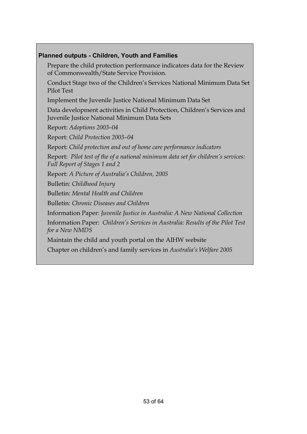#### **Planned outputs - Children, Youth and Families**

Prepare the child protection performance indicators data for the Review of Commonwealth/State Service Provision.

Conduct Stage two of the Children's Services National Minimum Data Set Pilot Test

Implement the Juvenile Justice National Minimum Data Set

Data development activities in Child Protection, Children's Services and Juvenile Justice National Minimum Data Sets

Report: *Adoptions 2003–04*

Report: *Child Protection 2003–04*

Report: *Child protection and out of home care performance indicators*

Report: *Pilot test of the of a national minimum data set for children's services: Full Report of Stages 1 and 2*

Report: *A Picture of Australia's Children, 2005*

Bulletin: *Childhood Injury*

Bulletin: *Mental Health and Children*

Bulletin: *Chronic Diseases and Children* 

Information Paper*: Juvenile Justice in Australia: A New National Collection* 

Information Paper: *Children's Services in Australia: Results of the Pilot Test for a New NMDS*

Maintain the child and youth portal on the AIHW website

Chapter on children's and family services in *Australia's Welfare 2005*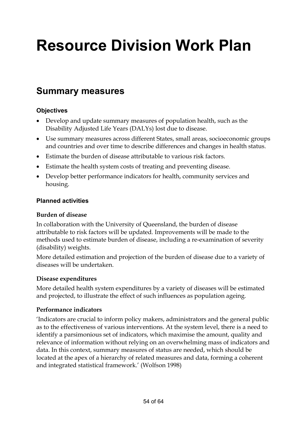# **Resource Division Work Plan**

### **Summary measures**

#### **Objectives**

- Develop and update summary measures of population health, such as the Disability Adjusted Life Years (DALYs) lost due to disease.
- Use summary measures across different States, small areas, socioeconomic groups and countries and over time to describe differences and changes in health status.
- Estimate the burden of disease attributable to various risk factors.
- Estimate the health system costs of treating and preventing disease.
- Develop better performance indicators for health, community services and housing.

#### **Planned activities**

#### **Burden of disease**

In collaboration with the University of Queensland, the burden of disease attributable to risk factors will be updated*.* Improvements will be made to the methods used to estimate burden of disease, including a re-examination of severity (disability) weights.

More detailed estimation and projection of the burden of disease due to a variety of diseases will be undertaken.

#### **Disease expenditures**

More detailed health system expenditures by a variety of diseases will be estimated and projected, to illustrate the effect of such influences as population ageing.

#### **Performance indicators**

'Indicators are crucial to inform policy makers, administrators and the general public as to the effectiveness of various interventions. At the system level, there is a need to identify a parsimonious set of indicators, which maximise the amount, quality and relevance of information without relying on an overwhelming mass of indicators and data. In this context, summary measures of status are needed, which should be located at the apex of a hierarchy of related measures and data, forming a coherent and integrated statistical framework.' (Wolfson 1998)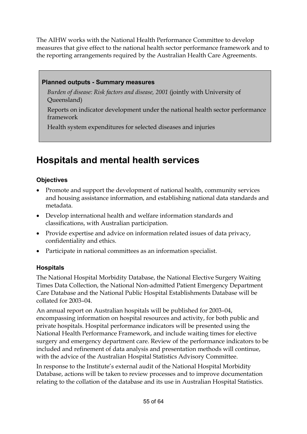The AIHW works with the National Health Performance Committee to develop measures that give effect to the national health sector performance framework and to the reporting arrangements required by the Australian Health Care Agreements.

#### **Planned outputs - Summary measures**

*Burden of disease: Risk factors and disease, 2001* (jointly with University of Queensland)

Reports on indicator development under the national health sector performance framework

Health system expenditures for selected diseases and injuries

### **Hospitals and mental health services**

#### **Objectives**

- Promote and support the development of national health, community services and housing assistance information, and establishing national data standards and metadata.
- Develop international health and welfare information standards and classifications, with Australian participation.
- Provide expertise and advice on information related issues of data privacy, confidentiality and ethics.
- Participate in national committees as an information specialist.

#### **Hospitals**

The National Hospital Morbidity Database, the National Elective Surgery Waiting Times Data Collection, the National Non-admitted Patient Emergency Department Care Database and the National Public Hospital Establishments Database will be collated for 2003–04.

An annual report on Australian hospitals will be published for 2003–04, encompassing information on hospital resources and activity, for both public and private hospitals. Hospital performance indicators will be presented using the National Health Performance Framework, and include waiting times for elective surgery and emergency department care. Review of the performance indicators to be included and refinement of data analysis and presentation methods will continue, with the advice of the Australian Hospital Statistics Advisory Committee.

In response to the Institute's external audit of the National Hospital Morbidity Database, actions will be taken to review processes and to improve documentation relating to the collation of the database and its use in Australian Hospital Statistics.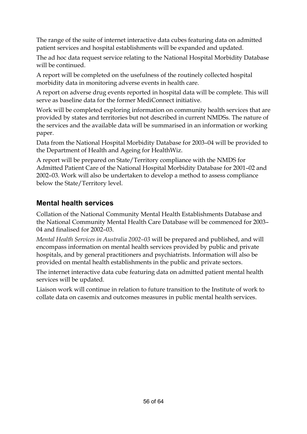The range of the suite of internet interactive data cubes featuring data on admitted patient services and hospital establishments will be expanded and updated.

The ad hoc data request service relating to the National Hospital Morbidity Database will be continued.

A report will be completed on the usefulness of the routinely collected hospital morbidity data in monitoring adverse events in health care.

A report on adverse drug events reported in hospital data will be complete. This will serve as baseline data for the former MediConnect initiative.

Work will be completed exploring information on community health services that are provided by states and territories but not described in current NMDSs. The nature of the services and the available data will be summarised in an information or working paper.

Data from the National Hospital Morbidity Database for 2003–04 will be provided to the Department of Health and Ageing for HealthWiz.

A report will be prepared on State/Territory compliance with the NMDS for Admitted Patient Care of the National Hospital Morbidity Database for 2001–02 and 2002–03. Work will also be undertaken to develop a method to assess compliance below the State/Territory level.

#### **Mental health services**

Collation of the National Community Mental Health Establishments Database and the National Community Mental Health Care Database will be commenced for 2003– 04 and finalised for 2002–03.

*Mental Health Services in Australia 2002–03* will be prepared and published, and will encompass information on mental health services provided by public and private hospitals, and by general practitioners and psychiatrists. Information will also be provided on mental health establishments in the public and private sectors.

The internet interactive data cube featuring data on admitted patient mental health services will be updated.

Liaison work will continue in relation to future transition to the Institute of work to collate data on casemix and outcomes measures in public mental health services.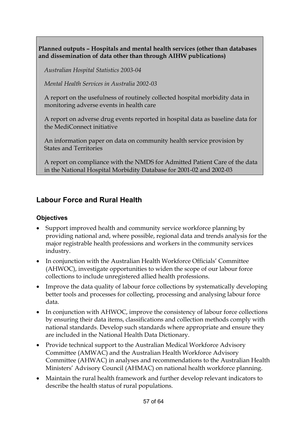**Planned outputs – Hospitals and mental health services (other than databases and dissemination of data other than through AIHW publications)** 

*Australian Hospital Statistics 2003-04* 

*Mental Health Services in Australia 2002-03* 

A report on the usefulness of routinely collected hospital morbidity data in monitoring adverse events in health care

A report on adverse drug events reported in hospital data as baseline data for the MediConnect initiative

An information paper on data on community health service provision by States and Territories

A report on compliance with the NMDS for Admitted Patient Care of the data in the National Hospital Morbidity Database for 2001-02 and 2002-03

#### **Labour Force and Rural Health**

#### **Objectives**

- Support improved health and community service workforce planning by providing national and, where possible, regional data and trends analysis for the major registrable health professions and workers in the community services industry.
- In conjunction with the Australian Health Workforce Officials' Committee (AHWOC), investigate opportunities to widen the scope of our labour force collections to include unregistered allied health professions.
- Improve the data quality of labour force collections by systematically developing better tools and processes for collecting, processing and analysing labour force data.
- In conjunction with AHWOC, improve the consistency of labour force collections by ensuring their data items, classifications and collection methods comply with national standards. Develop such standards where appropriate and ensure they are included in the National Health Data Dictionary.
- Provide technical support to the Australian Medical Workforce Advisory Committee (AMWAC) and the Australian Health Workforce Advisory Committee (AHWAC) in analyses and recommendations to the Australian Health Ministers' Advisory Council (AHMAC) on national health workforce planning.
- Maintain the rural health framework and further develop relevant indicators to describe the health status of rural populations.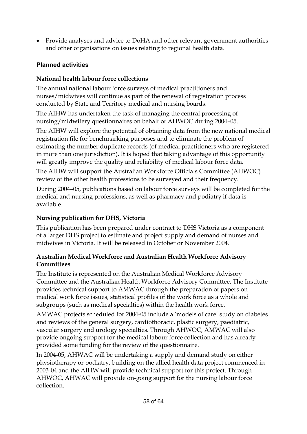• Provide analyses and advice to DoHA and other relevant government authorities and other organisations on issues relating to regional health data.

#### **Planned activities**

#### **National health labour force collections**

The annual national labour force surveys of medical practitioners and nurses/midwives will continue as part of the renewal of registration process conducted by State and Territory medical and nursing boards.

The AIHW has undertaken the task of managing the central processing of nursing/midwifery questionnaires on behalf of AHWOC during 2004–05.

The AIHW will explore the potential of obtaining data from the new national medical registration file for benchmarking purposes and to eliminate the problem of estimating the number duplicate records (of medical practitioners who are registered in more than one jurisdiction). It is hoped that taking advantage of this opportunity will greatly improve the quality and reliability of medical labour force data.

The AIHW will support the Australian Workforce Officials Committee (AHWOC) review of the other health professions to be surveyed and their frequency.

During 2004–05, publications based on labour force surveys will be completed for the medical and nursing professions, as well as pharmacy and podiatry if data is available.

#### **Nursing publication for DHS, Victoria**

This publication has been prepared under contract to DHS Victoria as a component of a larger DHS project to estimate and project supply and demand of nurses and midwives in Victoria. It will be released in October or November 2004.

#### **Australian Medical Workforce and Australian Health Workforce Advisory Committees**

The Institute is represented on the Australian Medical Workforce Advisory Committee and the Australian Health Workforce Advisory Committee. The Institute provides technical support to AMWAC through the preparation of papers on medical work force issues, statistical profiles of the work force as a whole and subgroups (such as medical specialties) within the health work force.

AMWAC projects scheduled for 2004-05 include a 'models of care' study on diabetes and reviews of the general surgery, cardiothoracic, plastic surgery, paediatric, vascular surgery and urology specialties. Through AHWOC, AMWAC will also provide ongoing support for the medical labour force collection and has already provided some funding for the review of the questionnaire.

In 2004-05, AHWAC will be undertaking a supply and demand study on either physiotherapy or podiatry, building on the allied health data project commenced in 2003-04 and the AIHW will provide technical support for this project. Through AHWOC, AHWAC will provide on-going support for the nursing labour force collection.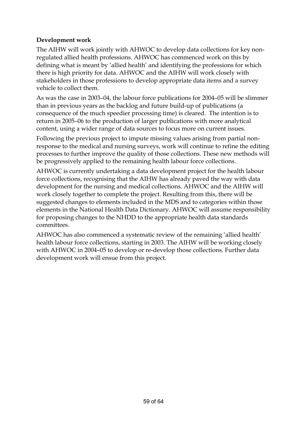#### **Development work**

The AIHW will work jointly with AHWOC to develop data collections for key nonregulated allied health professions. AHWOC has commenced work on this by defining what is meant by 'allied health' and identifying the professions for which there is high priority for data. AHWOC and the AIHW will work closely with stakeholders in those professions to develop appropriate data items and a survey vehicle to collect them.

As was the case in 2003–04, the labour force publications for 2004–05 will be slimmer than in previous years as the backlog and future build-up of publications (a consequence of the much speedier processing time) is cleared. The intention is to return in 2005–06 to the production of larger publications with more analytical content, using a wider range of data sources to focus more on current issues.

Following the previous project to impute missing values arising from partial nonresponse to the medical and nursing surveys, work will continue to refine the editing processes to further improve the quality of those collections. These new methods will be progressively applied to the remaining health labour force collections.

AHWOC is currently undertaking a data development project for the health labour force collections, recognising that the AIHW has already paved the way with data development for the nursing and medical collections. AHWOC and the AIHW will work closely together to complete the project. Resulting from this, there will be suggested changes to elements included in the MDS and to categories within those elements in the National Health Data Dictionary. AHWOC will assume responsibility for proposing changes to the NHDD to the appropriate health data standards committees.

AHWOC has also commenced a systematic review of the remaining 'allied health' health labour force collections, starting in 2003. The AIHW will be working closely with AHWOC in 2004–05 to develop or re-develop those collections. Further data development work will ensue from this project.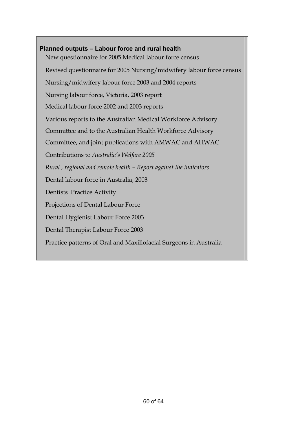### **Planned outputs – Labour force and rural health**  New questionnaire for 2005 Medical labour force census Revised questionnaire for 2005 Nursing/midwifery labour force census Nursing/midwifery labour force 2003 and 2004 reports Nursing labour force, Victoria, 2003 report Medical labour force 2002 and 2003 reports Various reports to the Australian Medical Workforce Advisory Committee and to the Australian Health Workforce Advisory Committee, and joint publications with AMWAC and AHWAC Contributions to *Australia's Welfare 2005 Rural , regional and remote health – Report against the indicators*  Dental labour force in Australia, 2003 Dentists Practice Activity Projections of Dental Labour Force Dental Hygienist Labour Force 2003 Dental Therapist Labour Force 2003 Practice patterns of Oral and Maxillofacial Surgeons in Australia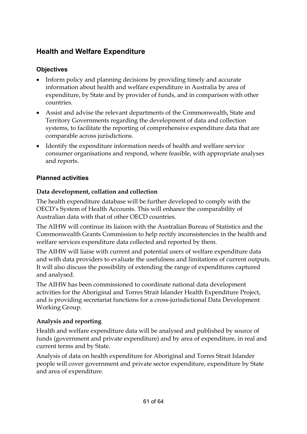#### **Health and Welfare Expenditure**

#### **Objectives**

- Inform policy and planning decisions by providing timely and accurate information about health and welfare expenditure in Australia by area of expenditure, by State and by provider of funds, and in comparison with other countries.
- Assist and advise the relevant departments of the Commonwealth, State and Territory Governments regarding the development of data and collection systems, to facilitate the reporting of comprehensive expenditure data that are comparable across jurisdictions.
- Identify the expenditure information needs of health and welfare service consumer organisations and respond, where feasible, with appropriate analyses and reports.

#### **Planned activities**

#### **Data development, collation and collection**

The health expenditure database will be further developed to comply with the OECD's System of Health Accounts. This will enhance the comparability of Australian data with that of other OECD countries.

The AIHW will continue its liaison with the Australian Bureau of Statistics and the Commonwealth Grants Commission to help rectify inconsistencies in the health and welfare services expenditure data collected and reported by them.

The AIHW will liaise with current and potential users of welfare expenditure data and with data providers to evaluate the usefulness and limitations of current outputs. It will also discuss the possibility of extending the range of expenditures captured and analysed.

The AIHW has been commissioned to coordinate national data development activities for the Aboriginal and Torres Strait Islander Health Expenditure Project, and is providing secretariat functions for a cross-jurisdictional Data Development Working Group.

#### **Analysis and reporting**

Health and welfare expenditure data will be analysed and published by source of funds (government and private expenditure) and by area of expenditure, in real and current terms and by State.

Analysis of data on health expenditure for Aboriginal and Torres Strait Islander people will cover government and private sector expenditure, expenditure by State and area of expenditure.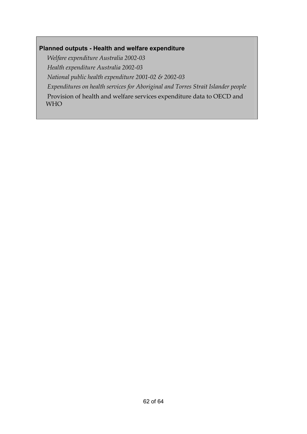#### **Planned outputs - Health and welfare expenditure**

*Welfare expenditure Australia 2002-03 Health expenditure Australia 2002-03 National public health expenditure 2001-02 & 2002-03 Expenditures on health services for Aboriginal and Torres Strait Islander people* Provision of health and welfare services expenditure data to OECD and WHO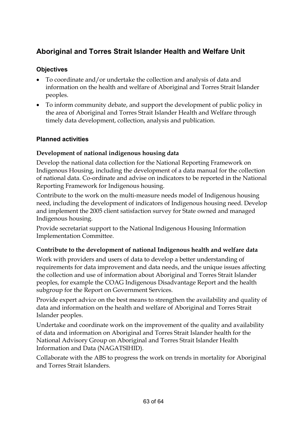#### **Aboriginal and Torres Strait Islander Health and Welfare Unit**

#### **Objectives**

- To coordinate and/or undertake the collection and analysis of data and information on the health and welfare of Aboriginal and Torres Strait Islander peoples.
- To inform community debate, and support the development of public policy in the area of Aboriginal and Torres Strait Islander Health and Welfare through timely data development, collection, analysis and publication.

#### **Planned activities**

#### **Development of national indigenous housing data**

Develop the national data collection for the National Reporting Framework on Indigenous Housing, including the development of a data manual for the collection of national data. Co-ordinate and advise on indicators to be reported in the National Reporting Framework for Indigenous housing.

Contribute to the work on the multi-measure needs model of Indigenous housing need, including the development of indicators of Indigenous housing need. Develop and implement the 2005 client satisfaction survey for State owned and managed Indigenous housing.

Provide secretariat support to the National Indigenous Housing Information Implementation Committee.

#### **Contribute to the development of national Indigenous health and welfare data**

Work with providers and users of data to develop a better understanding of requirements for data improvement and data needs, and the unique issues affecting the collection and use of information about Aboriginal and Torres Strait Islander peoples, for example the COAG Indigenous Disadvantage Report and the health subgroup for the Report on Government Services.

Provide expert advice on the best means to strengthen the availability and quality of data and information on the health and welfare of Aboriginal and Torres Strait Islander peoples.

Undertake and coordinate work on the improvement of the quality and availability of data and information on Aboriginal and Torres Strait Islander health for the National Advisory Group on Aboriginal and Torres Strait Islander Health Information and Data (NAGATSIHID).

Collaborate with the ABS to progress the work on trends in mortality for Aboriginal and Torres Strait Islanders.